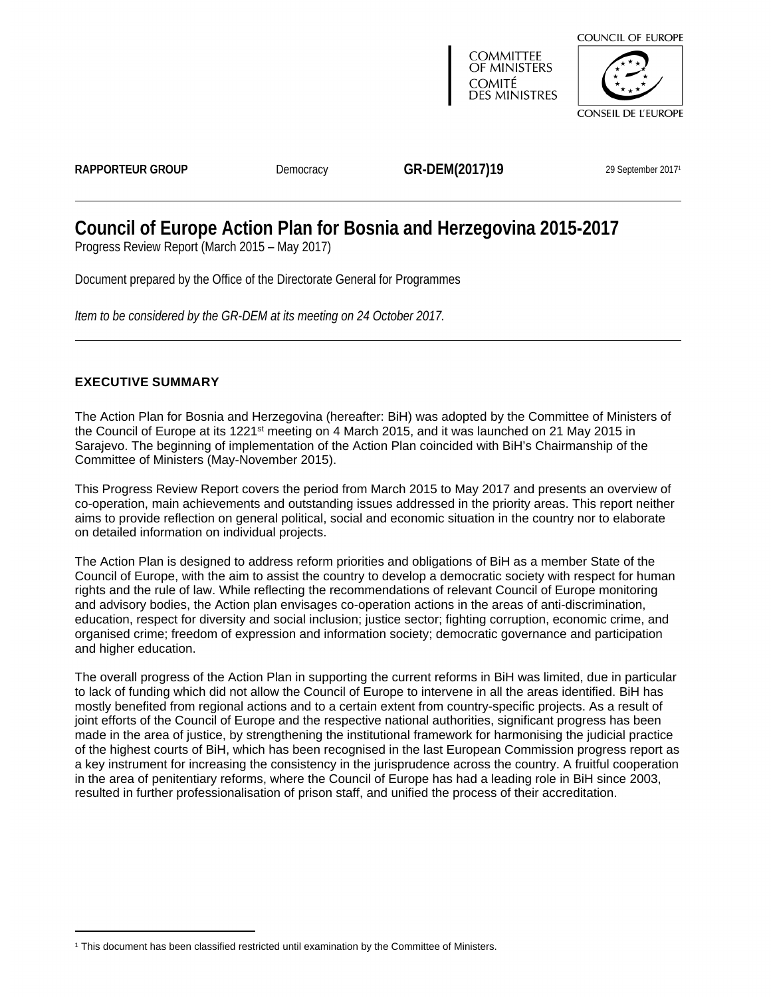

*Item to be considered by the GR-DEM at its meeting on 24 October 2017.*

# <span id="page-0-0"></span>**EXECUTIVE SUMMARY**

The Action Plan for Bosnia and Herzegovina (hereafter: BiH) was adopted by the Committee of Ministers of the Council of Europe at its 1221<sup>st</sup> meeting on 4 March 2015, and it was launched on 21 May 2015 in Sarajevo. The beginning of implementation of the Action Plan coincided with BiH's Chairmanship of the Committee of Ministers (May-November 2015).

This Progress Review Report covers the period from March 2015 to May 2017 and presents an overview of co-operation, main achievements and outstanding issues addressed in the priority areas. This report neither aims to provide reflection on general political, social and economic situation in the country nor to elaborate on detailed information on individual projects.

The Action Plan is designed to address reform priorities and obligations of BiH as a member State of the Council of Europe, with the aim to assist the country to develop a democratic society with respect for human rights and the rule of law. While reflecting the recommendations of relevant Council of Europe monitoring and advisory bodies, the Action plan envisages co-operation actions in the areas of anti-discrimination, education, respect for diversity and social inclusion; justice sector; fighting corruption, economic crime, and organised crime; freedom of expression and information society; democratic governance and participation and higher education.

The overall progress of the Action Plan in supporting the current reforms in BiH was limited, due in particular to lack of funding which did not allow the Council of Europe to intervene in all the areas identified. BiH has mostly benefited from regional actions and to a certain extent from country-specific projects. As a result of joint efforts of the Council of Europe and the respective national authorities, significant progress has been made in the area of justice, by strengthening the institutional framework for harmonising the judicial practice of the highest courts of BiH, which has been recognised in the last European Commission progress report as a key instrument for increasing the consistency in the jurisprudence across the country. A fruitful cooperation in the area of penitentiary reforms, where the Council of Europe has had a leading role in BiH since 2003, resulted in further professionalisation of prison staff, and unified the process of their accreditation.

<sup>1</sup> This document has been classified restricted until examination by the Committee of Ministers.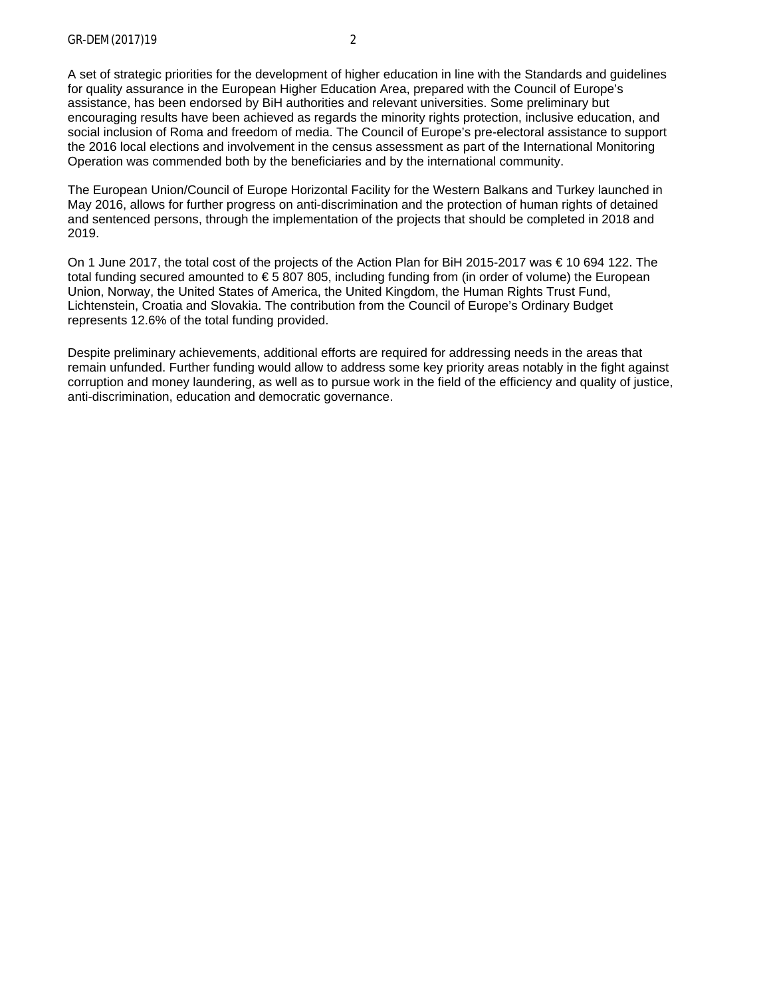A set of strategic priorities for the development of higher education in line with the Standards and guidelines for quality assurance in the European Higher Education Area, prepared with the Council of Europe's assistance, has been endorsed by BiH authorities and relevant universities. Some preliminary but encouraging results have been achieved as regards the minority rights protection, inclusive education, and social inclusion of Roma and freedom of media. The Council of Europe's pre-electoral assistance to support the 2016 local elections and involvement in the census assessment as part of the International Monitoring Operation was commended both by the beneficiaries and by the international community.

The European Union/Council of Europe Horizontal Facility for the Western Balkans and Turkey launched in May 2016, allows for further progress on anti-discrimination and the protection of human rights of detained and sentenced persons, through the implementation of the projects that should be completed in 2018 and 2019.

On 1 June 2017, the total cost of the projects of the Action Plan for BiH 2015-2017 was € 10 694 122. The total funding secured amounted to €5 807 805, including funding from (in order of volume) the European Union, Norway, the United States of America, the United Kingdom, the Human Rights Trust Fund, Lichtenstein, Croatia and Slovakia. The contribution from the Council of Europe's Ordinary Budget represents 12.6% of the total funding provided.

Despite preliminary achievements, additional efforts are required for addressing needs in the areas that remain unfunded. Further funding would allow to address some key priority areas notably in the fight against corruption and money laundering, as well as to pursue work in the field of the efficiency and quality of justice, anti-discrimination, education and democratic governance.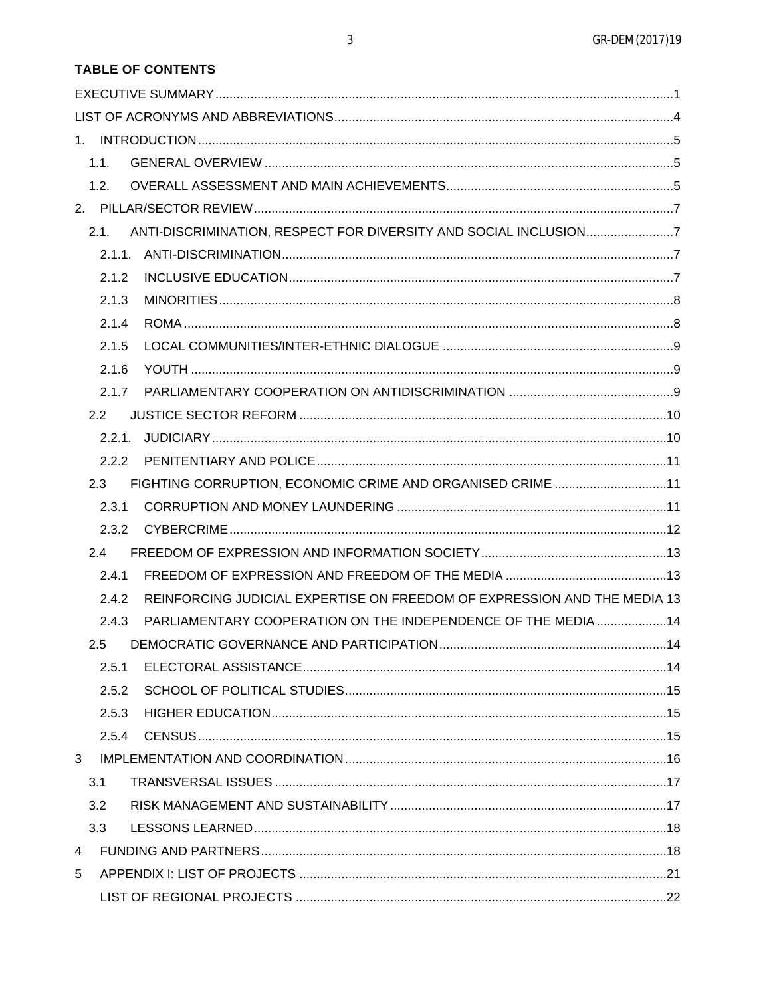| <b>TABLE OF CONTENTS</b> |  |
|--------------------------|--|
|--------------------------|--|

<span id="page-2-0"></span>

|              | 1.1.  |                                                                          |  |
|--------------|-------|--------------------------------------------------------------------------|--|
|              | 1.2.  |                                                                          |  |
|              |       |                                                                          |  |
|              | 2.1.  | ANTI-DISCRIMINATION, RESPECT FOR DIVERSITY AND SOCIAL INCLUSION7         |  |
|              |       |                                                                          |  |
|              | 2.1.2 |                                                                          |  |
|              | 2.1.3 |                                                                          |  |
|              | 2.1.4 |                                                                          |  |
|              | 2.1.5 |                                                                          |  |
|              | 2.1.6 |                                                                          |  |
|              | 2.1.7 |                                                                          |  |
|              | 2.2   |                                                                          |  |
|              |       |                                                                          |  |
|              |       |                                                                          |  |
|              | 2.3   | FIGHTING CORRUPTION, ECONOMIC CRIME AND ORGANISED CRIME 11               |  |
|              | 2.3.1 |                                                                          |  |
|              | 2.3.2 |                                                                          |  |
|              | 2.4   |                                                                          |  |
|              | 2.4.1 |                                                                          |  |
|              | 2.4.2 | REINFORCING JUDICIAL EXPERTISE ON FREEDOM OF EXPRESSION AND THE MEDIA 13 |  |
|              | 2.4.3 | PARLIAMENTARY COOPERATION ON THE INDEPENDENCE OF THE MEDIA 14            |  |
|              | 2.5   |                                                                          |  |
|              | 2.5.1 |                                                                          |  |
|              | 2.5.2 |                                                                          |  |
|              | 2.5.3 |                                                                          |  |
|              | 2.5.4 |                                                                          |  |
| $\mathbf{3}$ |       |                                                                          |  |
|              | 3.1   |                                                                          |  |
|              | 3.2   |                                                                          |  |
|              | 3.3   |                                                                          |  |
| 4            |       |                                                                          |  |
| 5            |       |                                                                          |  |
|              |       |                                                                          |  |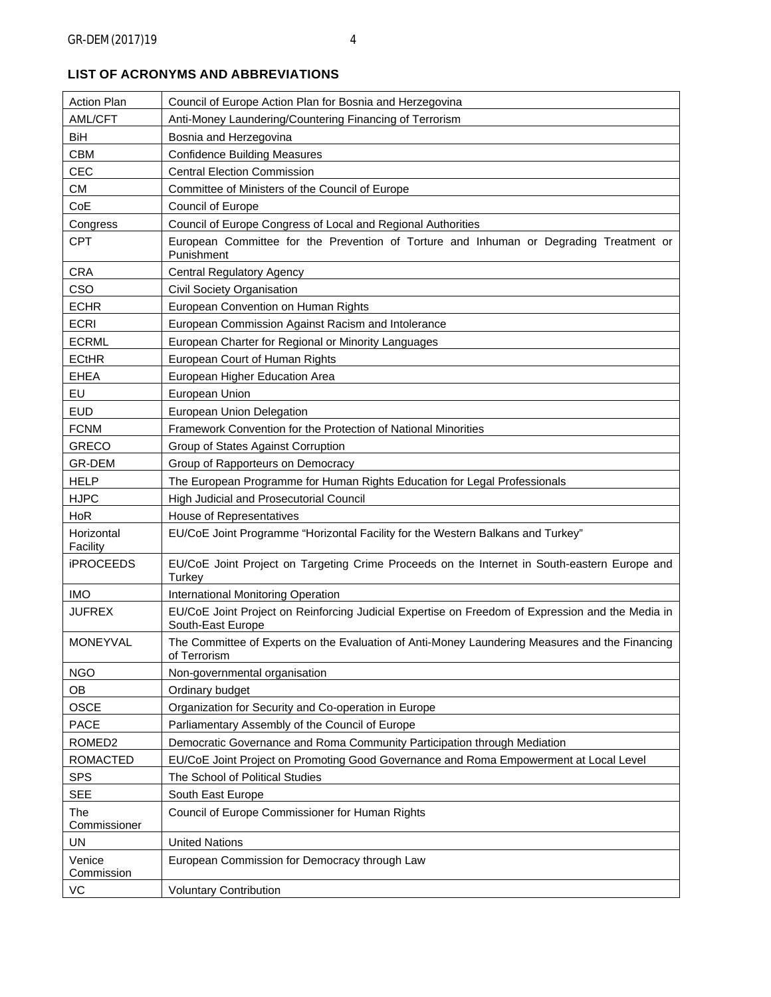| AML/CFT<br>Anti-Money Laundering/Countering Financing of Terrorism<br>BiH<br>Bosnia and Herzegovina<br><b>CBM</b><br><b>Confidence Building Measures</b><br><b>CEC</b><br><b>Central Election Commission</b><br><b>CM</b><br>Committee of Ministers of the Council of Europe<br>CoE<br>Council of Europe<br>Council of Europe Congress of Local and Regional Authorities<br>Congress<br><b>CPT</b><br>European Committee for the Prevention of Torture and Inhuman or Degrading Treatment or<br>Punishment<br><b>CRA</b><br><b>Central Regulatory Agency</b><br>CSO<br>Civil Society Organisation<br><b>ECHR</b><br>European Convention on Human Rights<br><b>ECRI</b><br>European Commission Against Racism and Intolerance<br><b>ECRML</b><br>European Charter for Regional or Minority Languages<br><b>ECtHR</b><br>European Court of Human Rights<br>European Higher Education Area<br><b>EHEA</b><br>EU<br>European Union<br><b>EUD</b><br>European Union Delegation<br><b>FCNM</b><br>Framework Convention for the Protection of National Minorities<br><b>GRECO</b><br>Group of States Against Corruption<br>GR-DEM<br>Group of Rapporteurs on Democracy<br><b>HELP</b><br>The European Programme for Human Rights Education for Legal Professionals<br><b>HJPC</b><br>High Judicial and Prosecutorial Council<br>HoR<br>House of Representatives<br>Horizontal<br>EU/CoE Joint Programme "Horizontal Facility for the Western Balkans and Turkey"<br>Facility<br><b>iPROCEEDS</b><br>EU/CoE Joint Project on Targeting Crime Proceeds on the Internet in South-eastern Europe and<br>Turkey<br><b>IMO</b><br>International Monitoring Operation<br><b>JUFREX</b><br>EU/CoE Joint Project on Reinforcing Judicial Expertise on Freedom of Expression and the Media in<br>South-East Europe<br><b>MONEYVAL</b><br>The Committee of Experts on the Evaluation of Anti-Money Laundering Measures and the Financing<br>of Terrorism<br><b>NGO</b><br>Non-governmental organisation<br>OB<br>Ordinary budget<br><b>OSCE</b><br>Organization for Security and Co-operation in Europe<br><b>PACE</b><br>Parliamentary Assembly of the Council of Europe<br>ROMED <sub>2</sub><br>Democratic Governance and Roma Community Participation through Mediation<br><b>ROMACTED</b><br>EU/CoE Joint Project on Promoting Good Governance and Roma Empowerment at Local Level<br><b>SPS</b><br>The School of Political Studies<br><b>SEE</b><br>South East Europe<br>Council of Europe Commissioner for Human Rights<br>The<br>Commissioner<br>UN<br><b>United Nations</b><br>European Commission for Democracy through Law<br>Venice<br>Commission | <b>Action Plan</b> | Council of Europe Action Plan for Bosnia and Herzegovina |  |
|---------------------------------------------------------------------------------------------------------------------------------------------------------------------------------------------------------------------------------------------------------------------------------------------------------------------------------------------------------------------------------------------------------------------------------------------------------------------------------------------------------------------------------------------------------------------------------------------------------------------------------------------------------------------------------------------------------------------------------------------------------------------------------------------------------------------------------------------------------------------------------------------------------------------------------------------------------------------------------------------------------------------------------------------------------------------------------------------------------------------------------------------------------------------------------------------------------------------------------------------------------------------------------------------------------------------------------------------------------------------------------------------------------------------------------------------------------------------------------------------------------------------------------------------------------------------------------------------------------------------------------------------------------------------------------------------------------------------------------------------------------------------------------------------------------------------------------------------------------------------------------------------------------------------------------------------------------------------------------------------------------------------------------------------------------------------------------------------------------------------------------------------------------------------------------------------------------------------------------------------------------------------------------------------------------------------------------------------------------------------------------------------------------------------------------------------------------------------------------------------------------------------------------------------------------------------------------------------------------------------------------------------|--------------------|----------------------------------------------------------|--|
|                                                                                                                                                                                                                                                                                                                                                                                                                                                                                                                                                                                                                                                                                                                                                                                                                                                                                                                                                                                                                                                                                                                                                                                                                                                                                                                                                                                                                                                                                                                                                                                                                                                                                                                                                                                                                                                                                                                                                                                                                                                                                                                                                                                                                                                                                                                                                                                                                                                                                                                                                                                                                                             |                    |                                                          |  |
|                                                                                                                                                                                                                                                                                                                                                                                                                                                                                                                                                                                                                                                                                                                                                                                                                                                                                                                                                                                                                                                                                                                                                                                                                                                                                                                                                                                                                                                                                                                                                                                                                                                                                                                                                                                                                                                                                                                                                                                                                                                                                                                                                                                                                                                                                                                                                                                                                                                                                                                                                                                                                                             |                    |                                                          |  |
|                                                                                                                                                                                                                                                                                                                                                                                                                                                                                                                                                                                                                                                                                                                                                                                                                                                                                                                                                                                                                                                                                                                                                                                                                                                                                                                                                                                                                                                                                                                                                                                                                                                                                                                                                                                                                                                                                                                                                                                                                                                                                                                                                                                                                                                                                                                                                                                                                                                                                                                                                                                                                                             |                    |                                                          |  |
|                                                                                                                                                                                                                                                                                                                                                                                                                                                                                                                                                                                                                                                                                                                                                                                                                                                                                                                                                                                                                                                                                                                                                                                                                                                                                                                                                                                                                                                                                                                                                                                                                                                                                                                                                                                                                                                                                                                                                                                                                                                                                                                                                                                                                                                                                                                                                                                                                                                                                                                                                                                                                                             |                    |                                                          |  |
|                                                                                                                                                                                                                                                                                                                                                                                                                                                                                                                                                                                                                                                                                                                                                                                                                                                                                                                                                                                                                                                                                                                                                                                                                                                                                                                                                                                                                                                                                                                                                                                                                                                                                                                                                                                                                                                                                                                                                                                                                                                                                                                                                                                                                                                                                                                                                                                                                                                                                                                                                                                                                                             |                    |                                                          |  |
|                                                                                                                                                                                                                                                                                                                                                                                                                                                                                                                                                                                                                                                                                                                                                                                                                                                                                                                                                                                                                                                                                                                                                                                                                                                                                                                                                                                                                                                                                                                                                                                                                                                                                                                                                                                                                                                                                                                                                                                                                                                                                                                                                                                                                                                                                                                                                                                                                                                                                                                                                                                                                                             |                    |                                                          |  |
|                                                                                                                                                                                                                                                                                                                                                                                                                                                                                                                                                                                                                                                                                                                                                                                                                                                                                                                                                                                                                                                                                                                                                                                                                                                                                                                                                                                                                                                                                                                                                                                                                                                                                                                                                                                                                                                                                                                                                                                                                                                                                                                                                                                                                                                                                                                                                                                                                                                                                                                                                                                                                                             |                    |                                                          |  |
|                                                                                                                                                                                                                                                                                                                                                                                                                                                                                                                                                                                                                                                                                                                                                                                                                                                                                                                                                                                                                                                                                                                                                                                                                                                                                                                                                                                                                                                                                                                                                                                                                                                                                                                                                                                                                                                                                                                                                                                                                                                                                                                                                                                                                                                                                                                                                                                                                                                                                                                                                                                                                                             |                    |                                                          |  |
|                                                                                                                                                                                                                                                                                                                                                                                                                                                                                                                                                                                                                                                                                                                                                                                                                                                                                                                                                                                                                                                                                                                                                                                                                                                                                                                                                                                                                                                                                                                                                                                                                                                                                                                                                                                                                                                                                                                                                                                                                                                                                                                                                                                                                                                                                                                                                                                                                                                                                                                                                                                                                                             |                    |                                                          |  |
|                                                                                                                                                                                                                                                                                                                                                                                                                                                                                                                                                                                                                                                                                                                                                                                                                                                                                                                                                                                                                                                                                                                                                                                                                                                                                                                                                                                                                                                                                                                                                                                                                                                                                                                                                                                                                                                                                                                                                                                                                                                                                                                                                                                                                                                                                                                                                                                                                                                                                                                                                                                                                                             |                    |                                                          |  |
|                                                                                                                                                                                                                                                                                                                                                                                                                                                                                                                                                                                                                                                                                                                                                                                                                                                                                                                                                                                                                                                                                                                                                                                                                                                                                                                                                                                                                                                                                                                                                                                                                                                                                                                                                                                                                                                                                                                                                                                                                                                                                                                                                                                                                                                                                                                                                                                                                                                                                                                                                                                                                                             |                    |                                                          |  |
|                                                                                                                                                                                                                                                                                                                                                                                                                                                                                                                                                                                                                                                                                                                                                                                                                                                                                                                                                                                                                                                                                                                                                                                                                                                                                                                                                                                                                                                                                                                                                                                                                                                                                                                                                                                                                                                                                                                                                                                                                                                                                                                                                                                                                                                                                                                                                                                                                                                                                                                                                                                                                                             |                    |                                                          |  |
|                                                                                                                                                                                                                                                                                                                                                                                                                                                                                                                                                                                                                                                                                                                                                                                                                                                                                                                                                                                                                                                                                                                                                                                                                                                                                                                                                                                                                                                                                                                                                                                                                                                                                                                                                                                                                                                                                                                                                                                                                                                                                                                                                                                                                                                                                                                                                                                                                                                                                                                                                                                                                                             |                    |                                                          |  |
|                                                                                                                                                                                                                                                                                                                                                                                                                                                                                                                                                                                                                                                                                                                                                                                                                                                                                                                                                                                                                                                                                                                                                                                                                                                                                                                                                                                                                                                                                                                                                                                                                                                                                                                                                                                                                                                                                                                                                                                                                                                                                                                                                                                                                                                                                                                                                                                                                                                                                                                                                                                                                                             |                    |                                                          |  |
|                                                                                                                                                                                                                                                                                                                                                                                                                                                                                                                                                                                                                                                                                                                                                                                                                                                                                                                                                                                                                                                                                                                                                                                                                                                                                                                                                                                                                                                                                                                                                                                                                                                                                                                                                                                                                                                                                                                                                                                                                                                                                                                                                                                                                                                                                                                                                                                                                                                                                                                                                                                                                                             |                    |                                                          |  |
|                                                                                                                                                                                                                                                                                                                                                                                                                                                                                                                                                                                                                                                                                                                                                                                                                                                                                                                                                                                                                                                                                                                                                                                                                                                                                                                                                                                                                                                                                                                                                                                                                                                                                                                                                                                                                                                                                                                                                                                                                                                                                                                                                                                                                                                                                                                                                                                                                                                                                                                                                                                                                                             |                    |                                                          |  |
|                                                                                                                                                                                                                                                                                                                                                                                                                                                                                                                                                                                                                                                                                                                                                                                                                                                                                                                                                                                                                                                                                                                                                                                                                                                                                                                                                                                                                                                                                                                                                                                                                                                                                                                                                                                                                                                                                                                                                                                                                                                                                                                                                                                                                                                                                                                                                                                                                                                                                                                                                                                                                                             |                    |                                                          |  |
|                                                                                                                                                                                                                                                                                                                                                                                                                                                                                                                                                                                                                                                                                                                                                                                                                                                                                                                                                                                                                                                                                                                                                                                                                                                                                                                                                                                                                                                                                                                                                                                                                                                                                                                                                                                                                                                                                                                                                                                                                                                                                                                                                                                                                                                                                                                                                                                                                                                                                                                                                                                                                                             |                    |                                                          |  |
|                                                                                                                                                                                                                                                                                                                                                                                                                                                                                                                                                                                                                                                                                                                                                                                                                                                                                                                                                                                                                                                                                                                                                                                                                                                                                                                                                                                                                                                                                                                                                                                                                                                                                                                                                                                                                                                                                                                                                                                                                                                                                                                                                                                                                                                                                                                                                                                                                                                                                                                                                                                                                                             |                    |                                                          |  |
|                                                                                                                                                                                                                                                                                                                                                                                                                                                                                                                                                                                                                                                                                                                                                                                                                                                                                                                                                                                                                                                                                                                                                                                                                                                                                                                                                                                                                                                                                                                                                                                                                                                                                                                                                                                                                                                                                                                                                                                                                                                                                                                                                                                                                                                                                                                                                                                                                                                                                                                                                                                                                                             |                    |                                                          |  |
|                                                                                                                                                                                                                                                                                                                                                                                                                                                                                                                                                                                                                                                                                                                                                                                                                                                                                                                                                                                                                                                                                                                                                                                                                                                                                                                                                                                                                                                                                                                                                                                                                                                                                                                                                                                                                                                                                                                                                                                                                                                                                                                                                                                                                                                                                                                                                                                                                                                                                                                                                                                                                                             |                    |                                                          |  |
|                                                                                                                                                                                                                                                                                                                                                                                                                                                                                                                                                                                                                                                                                                                                                                                                                                                                                                                                                                                                                                                                                                                                                                                                                                                                                                                                                                                                                                                                                                                                                                                                                                                                                                                                                                                                                                                                                                                                                                                                                                                                                                                                                                                                                                                                                                                                                                                                                                                                                                                                                                                                                                             |                    |                                                          |  |
|                                                                                                                                                                                                                                                                                                                                                                                                                                                                                                                                                                                                                                                                                                                                                                                                                                                                                                                                                                                                                                                                                                                                                                                                                                                                                                                                                                                                                                                                                                                                                                                                                                                                                                                                                                                                                                                                                                                                                                                                                                                                                                                                                                                                                                                                                                                                                                                                                                                                                                                                                                                                                                             |                    |                                                          |  |
|                                                                                                                                                                                                                                                                                                                                                                                                                                                                                                                                                                                                                                                                                                                                                                                                                                                                                                                                                                                                                                                                                                                                                                                                                                                                                                                                                                                                                                                                                                                                                                                                                                                                                                                                                                                                                                                                                                                                                                                                                                                                                                                                                                                                                                                                                                                                                                                                                                                                                                                                                                                                                                             |                    |                                                          |  |
|                                                                                                                                                                                                                                                                                                                                                                                                                                                                                                                                                                                                                                                                                                                                                                                                                                                                                                                                                                                                                                                                                                                                                                                                                                                                                                                                                                                                                                                                                                                                                                                                                                                                                                                                                                                                                                                                                                                                                                                                                                                                                                                                                                                                                                                                                                                                                                                                                                                                                                                                                                                                                                             |                    |                                                          |  |
|                                                                                                                                                                                                                                                                                                                                                                                                                                                                                                                                                                                                                                                                                                                                                                                                                                                                                                                                                                                                                                                                                                                                                                                                                                                                                                                                                                                                                                                                                                                                                                                                                                                                                                                                                                                                                                                                                                                                                                                                                                                                                                                                                                                                                                                                                                                                                                                                                                                                                                                                                                                                                                             |                    |                                                          |  |
|                                                                                                                                                                                                                                                                                                                                                                                                                                                                                                                                                                                                                                                                                                                                                                                                                                                                                                                                                                                                                                                                                                                                                                                                                                                                                                                                                                                                                                                                                                                                                                                                                                                                                                                                                                                                                                                                                                                                                                                                                                                                                                                                                                                                                                                                                                                                                                                                                                                                                                                                                                                                                                             |                    |                                                          |  |
|                                                                                                                                                                                                                                                                                                                                                                                                                                                                                                                                                                                                                                                                                                                                                                                                                                                                                                                                                                                                                                                                                                                                                                                                                                                                                                                                                                                                                                                                                                                                                                                                                                                                                                                                                                                                                                                                                                                                                                                                                                                                                                                                                                                                                                                                                                                                                                                                                                                                                                                                                                                                                                             |                    |                                                          |  |
|                                                                                                                                                                                                                                                                                                                                                                                                                                                                                                                                                                                                                                                                                                                                                                                                                                                                                                                                                                                                                                                                                                                                                                                                                                                                                                                                                                                                                                                                                                                                                                                                                                                                                                                                                                                                                                                                                                                                                                                                                                                                                                                                                                                                                                                                                                                                                                                                                                                                                                                                                                                                                                             |                    |                                                          |  |
|                                                                                                                                                                                                                                                                                                                                                                                                                                                                                                                                                                                                                                                                                                                                                                                                                                                                                                                                                                                                                                                                                                                                                                                                                                                                                                                                                                                                                                                                                                                                                                                                                                                                                                                                                                                                                                                                                                                                                                                                                                                                                                                                                                                                                                                                                                                                                                                                                                                                                                                                                                                                                                             |                    |                                                          |  |
|                                                                                                                                                                                                                                                                                                                                                                                                                                                                                                                                                                                                                                                                                                                                                                                                                                                                                                                                                                                                                                                                                                                                                                                                                                                                                                                                                                                                                                                                                                                                                                                                                                                                                                                                                                                                                                                                                                                                                                                                                                                                                                                                                                                                                                                                                                                                                                                                                                                                                                                                                                                                                                             |                    |                                                          |  |
|                                                                                                                                                                                                                                                                                                                                                                                                                                                                                                                                                                                                                                                                                                                                                                                                                                                                                                                                                                                                                                                                                                                                                                                                                                                                                                                                                                                                                                                                                                                                                                                                                                                                                                                                                                                                                                                                                                                                                                                                                                                                                                                                                                                                                                                                                                                                                                                                                                                                                                                                                                                                                                             |                    |                                                          |  |
|                                                                                                                                                                                                                                                                                                                                                                                                                                                                                                                                                                                                                                                                                                                                                                                                                                                                                                                                                                                                                                                                                                                                                                                                                                                                                                                                                                                                                                                                                                                                                                                                                                                                                                                                                                                                                                                                                                                                                                                                                                                                                                                                                                                                                                                                                                                                                                                                                                                                                                                                                                                                                                             |                    |                                                          |  |
|                                                                                                                                                                                                                                                                                                                                                                                                                                                                                                                                                                                                                                                                                                                                                                                                                                                                                                                                                                                                                                                                                                                                                                                                                                                                                                                                                                                                                                                                                                                                                                                                                                                                                                                                                                                                                                                                                                                                                                                                                                                                                                                                                                                                                                                                                                                                                                                                                                                                                                                                                                                                                                             |                    |                                                          |  |
|                                                                                                                                                                                                                                                                                                                                                                                                                                                                                                                                                                                                                                                                                                                                                                                                                                                                                                                                                                                                                                                                                                                                                                                                                                                                                                                                                                                                                                                                                                                                                                                                                                                                                                                                                                                                                                                                                                                                                                                                                                                                                                                                                                                                                                                                                                                                                                                                                                                                                                                                                                                                                                             |                    |                                                          |  |
|                                                                                                                                                                                                                                                                                                                                                                                                                                                                                                                                                                                                                                                                                                                                                                                                                                                                                                                                                                                                                                                                                                                                                                                                                                                                                                                                                                                                                                                                                                                                                                                                                                                                                                                                                                                                                                                                                                                                                                                                                                                                                                                                                                                                                                                                                                                                                                                                                                                                                                                                                                                                                                             |                    |                                                          |  |
|                                                                                                                                                                                                                                                                                                                                                                                                                                                                                                                                                                                                                                                                                                                                                                                                                                                                                                                                                                                                                                                                                                                                                                                                                                                                                                                                                                                                                                                                                                                                                                                                                                                                                                                                                                                                                                                                                                                                                                                                                                                                                                                                                                                                                                                                                                                                                                                                                                                                                                                                                                                                                                             |                    |                                                          |  |
|                                                                                                                                                                                                                                                                                                                                                                                                                                                                                                                                                                                                                                                                                                                                                                                                                                                                                                                                                                                                                                                                                                                                                                                                                                                                                                                                                                                                                                                                                                                                                                                                                                                                                                                                                                                                                                                                                                                                                                                                                                                                                                                                                                                                                                                                                                                                                                                                                                                                                                                                                                                                                                             |                    |                                                          |  |
|                                                                                                                                                                                                                                                                                                                                                                                                                                                                                                                                                                                                                                                                                                                                                                                                                                                                                                                                                                                                                                                                                                                                                                                                                                                                                                                                                                                                                                                                                                                                                                                                                                                                                                                                                                                                                                                                                                                                                                                                                                                                                                                                                                                                                                                                                                                                                                                                                                                                                                                                                                                                                                             |                    |                                                          |  |
|                                                                                                                                                                                                                                                                                                                                                                                                                                                                                                                                                                                                                                                                                                                                                                                                                                                                                                                                                                                                                                                                                                                                                                                                                                                                                                                                                                                                                                                                                                                                                                                                                                                                                                                                                                                                                                                                                                                                                                                                                                                                                                                                                                                                                                                                                                                                                                                                                                                                                                                                                                                                                                             | VC                 | <b>Voluntary Contribution</b>                            |  |

# **LIST OF ACRONYMS AND ABBREVIATIONS**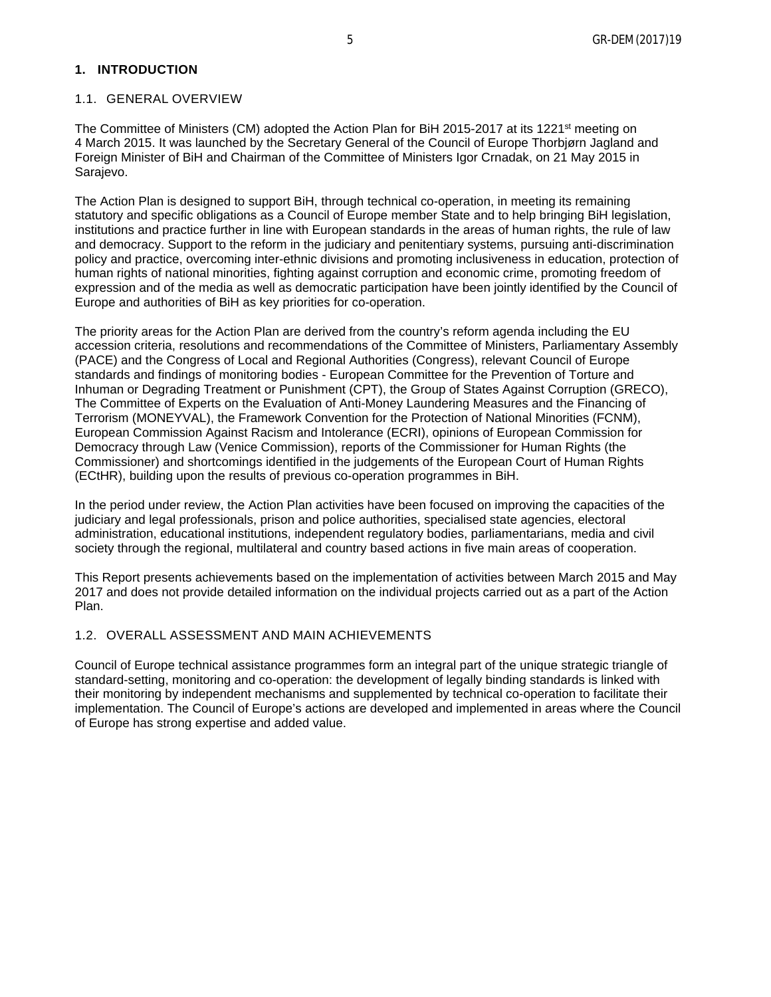<span id="page-4-1"></span><span id="page-4-0"></span>The Committee of Ministers (CM) adopted the Action Plan for BiH 2015-2017 at its 1221<sup>st</sup> meeting on 4 March 2015. It was launched by the Secretary General of the Council of Europe Thorbjørn Jagland and Foreign Minister of BiH and Chairman of the Committee of Ministers Igor Crnadak, on 21 May 2015 in Sarajevo.

The Action Plan is designed to support BiH, through technical co-operation, in meeting its remaining statutory and specific obligations as a Council of Europe member State and to help bringing BiH legislation, institutions and practice further in line with European standards in the areas of human rights, the rule of law and democracy. Support to the reform in the judiciary and penitentiary systems, pursuing anti-discrimination policy and practice, overcoming inter-ethnic divisions and promoting inclusiveness in education, protection of human rights of national minorities, fighting against corruption and economic crime, promoting freedom of expression and of the media as well as democratic participation have been jointly identified by the Council of Europe and authorities of BiH as key priorities for co-operation.

The priority areas for the Action Plan are derived from the country's reform agenda including the EU accession criteria, resolutions and recommendations of the Committee of Ministers, Parliamentary Assembly (PACE) and the Congress of Local and Regional Authorities (Congress), relevant Council of Europe standards and findings of monitoring bodies - European Committee for the Prevention of Torture and Inhuman or Degrading Treatment or Punishment (CPT), the Group of States Against Corruption (GRECO), The Committee of Experts on the Evaluation of Anti-Money Laundering Measures and the Financing of Terrorism (MONEYVAL), the Framework Convention for the Protection of National Minorities (FCNM), European Commission Against Racism and Intolerance (ECRI), opinions of European Commission for Democracy through Law (Venice Commission), reports of the Commissioner for Human Rights (the Commissioner) and shortcomings identified in the judgements of the European Court of Human Rights (ECtHR), building upon the results of previous co-operation programmes in BiH.

In the period under review, the Action Plan activities have been focused on improving the capacities of the judiciary and legal professionals, prison and police authorities, specialised state agencies, electoral administration, educational institutions, independent regulatory bodies, parliamentarians, media and civil society through the regional, multilateral and country based actions in five main areas of cooperation.

This Report presents achievements based on the implementation of activities between March 2015 and May 2017 and does not provide detailed information on the individual projects carried out as a part of the Action Plan.

# <span id="page-4-2"></span>1.2. OVERALL ASSESSMENT AND MAIN ACHIEVEMENTS

Council of Europe technical assistance programmes form an integral part of the unique strategic triangle of standard-setting, monitoring and co-operation: the development of legally binding standards is linked with their monitoring by independent mechanisms and supplemented by technical co-operation to facilitate their implementation. The Council of Europe's actions are developed and implemented in areas where the Council of Europe has strong expertise and added value.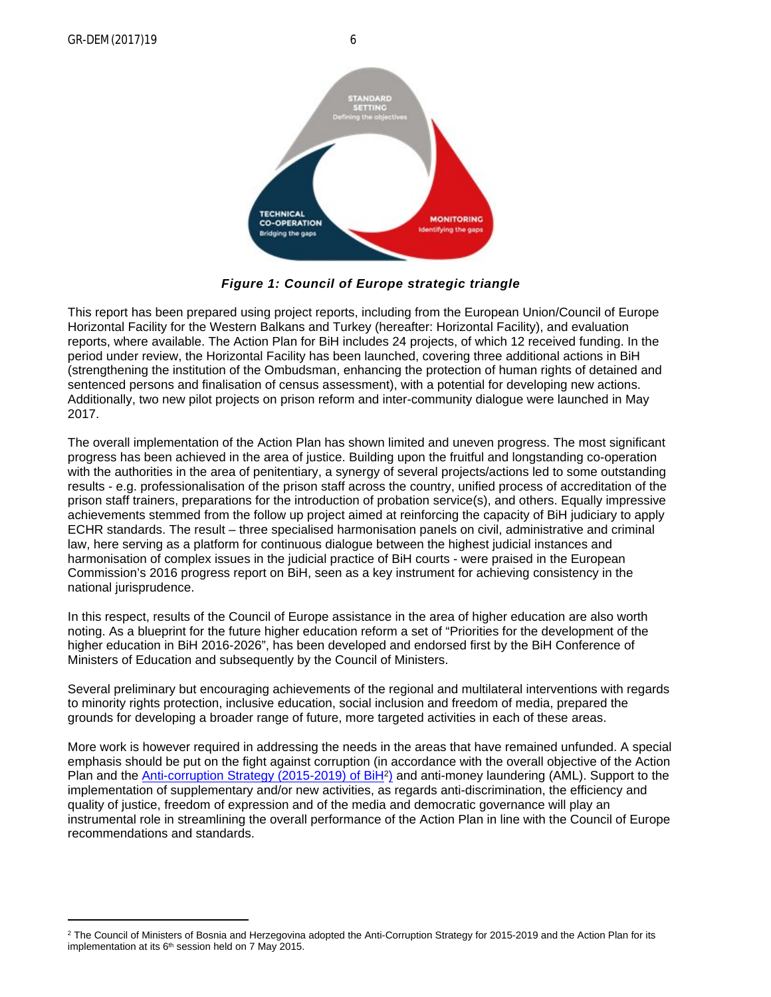GR-DEM(2017)19 6





*Figure 1: Council of Europe strategic triangle*

This report has been prepared using project reports, including from the European Union/Council of Europe Horizontal Facility for the Western Balkans and Turkey (hereafter: Horizontal Facility), and evaluation reports, where available. The Action Plan for BiH includes 24 projects, of which 12 received funding. In the period under review, the Horizontal Facility has been launched, covering three additional actions in BiH (strengthening the institution of the Ombudsman, enhancing the protection of human rights of detained and sentenced persons and finalisation of census assessment), with a potential for developing new actions. Additionally, two new pilot projects on prison reform and inter-community dialogue were launched in May 2017.

The overall implementation of the Action Plan has shown limited and uneven progress. The most significant progress has been achieved in the area of justice. Building upon the fruitful and longstanding co-operation with the authorities in the area of penitentiary, a synergy of several projects/actions led to some outstanding results - e.g. professionalisation of the prison staff across the country, unified process of accreditation of the prison staff trainers, preparations for the introduction of probation service(s), and others. Equally impressive achievements stemmed from the follow up project aimed at reinforcing the capacity of BiH judiciary to apply ECHR standards. The result – three specialised harmonisation panels on civil, administrative and criminal law, here serving as a platform for continuous dialogue between the highest judicial instances and harmonisation of complex issues in the judicial practice of BiH courts - were praised in the European Commission's 2016 progress report on BiH, seen as a key instrument for achieving consistency in the national jurisprudence.

In this respect, results of the Council of Europe assistance in the area of higher education are also worth noting. As a blueprint for the future higher education reform a set of "Priorities for the development of the higher education in BiH 2016-2026", has been developed and endorsed first by the BiH Conference of Ministers of Education and subsequently by the Council of Ministers.

Several preliminary but encouraging achievements of the regional and multilateral interventions with regards to minority rights protection, inclusive education, social inclusion and freedom of media, prepared the grounds for developing a broader range of future, more targeted activities in each of these areas.

More work is however required in addressing the needs in the areas that have remained unfunded. A special emphasis should be put on the fight against corruption (in accordance with the overall objective of the Action Plan and the [Anti-corruption Strategy \(2015-2019\) of BiH](http://apik.ba/zakoni-i-drugi-akti/strategije/default.aspx?id=806&langTag=bs-BA)<sup>2</sup>) and anti-money laundering (AML). Support to the implementation of supplementary and/or new activities, as regards anti-discrimination, the efficiency and quality of justice, freedom of expression and of the media and democratic governance will play an instrumental role in streamlining the overall performance of the Action Plan in line with the Council of Europe recommendations and standards.

<sup>2</sup> The Council of Ministers of Bosnia and Herzegovina adopted the Anti-Corruption Strategy for 2015-2019 and the Action Plan for its implementation at its  $6<sup>th</sup>$  session held on 7 May 2015.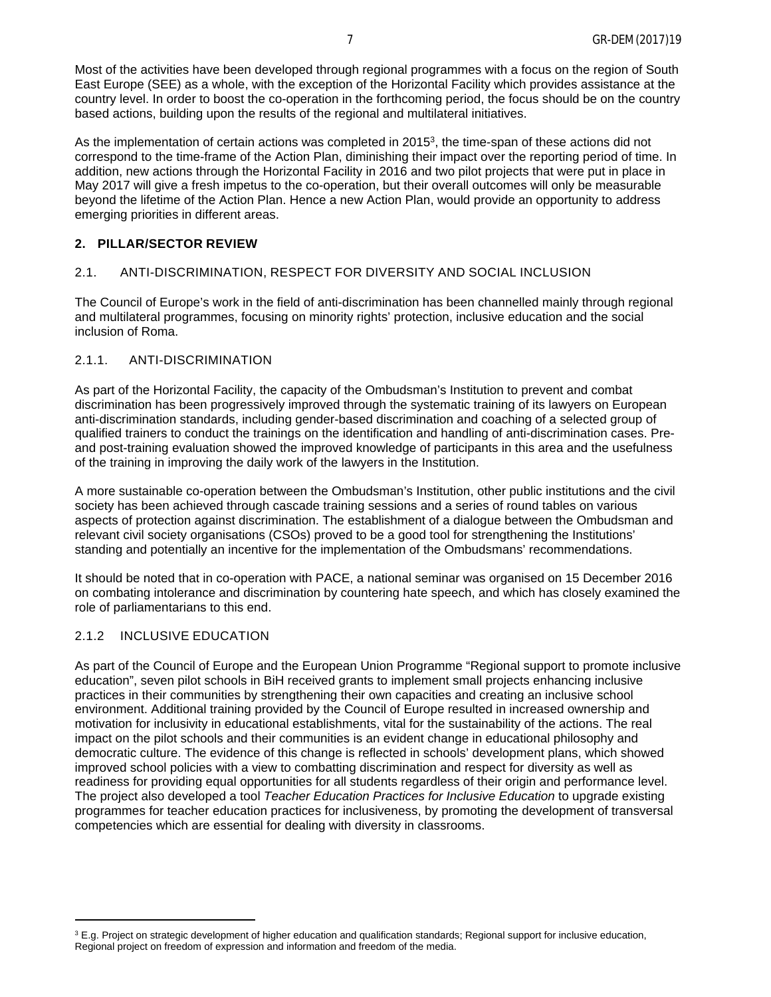Most of the activities have been developed through regional programmes with a focus on the region of South East Europe (SEE) as a whole, with the exception of the Horizontal Facility which provides assistance at the country level. In order to boost the co-operation in the forthcoming period, the focus should be on the country based actions, building upon the results of the regional and multilateral initiatives.

As the implementation of certain actions was completed in 2015<sup>3</sup> , the time-span of these actions did not correspond to the time-frame of the Action Plan, diminishing their impact over the reporting period of time. In addition, new actions through the Horizontal Facility in 2016 and two pilot projects that were put in place in May 2017 will give a fresh impetus to the co-operation, but their overall outcomes will only be measurable beyond the lifetime of the Action Plan. Hence a new Action Plan, would provide an opportunity to address emerging priorities in different areas.

#### <span id="page-6-0"></span>**2. PILLAR/SECTOR REVIEW**

#### <span id="page-6-1"></span>2.1. ANTI-DISCRIMINATION, RESPECT FOR DIVERSITY AND SOCIAL INCLUSION

The Council of Europe's work in the field of anti-discrimination has been channelled mainly through regional and multilateral programmes, focusing on minority rights' protection, inclusive education and the social inclusion of Roma.

#### <span id="page-6-2"></span>2.1.1. ANTI-DISCRIMINATION

As part of the Horizontal Facility, the capacity of the Ombudsman's Institution to prevent and combat discrimination has been progressively improved through the systematic training of its lawyers on European anti-discrimination standards, including gender-based discrimination and coaching of a selected group of qualified trainers to conduct the trainings on the identification and handling of anti-discrimination cases. Preand post-training evaluation showed the improved knowledge of participants in this area and the usefulness of the training in improving the daily work of the lawyers in the Institution.

A more sustainable co-operation between the Ombudsman's Institution, other public institutions and the civil society has been achieved through cascade training sessions and a series of round tables on various aspects of protection against discrimination. The establishment of a dialogue between the Ombudsman and relevant civil society organisations (CSOs) proved to be a good tool for strengthening the Institutions' standing and potentially an incentive for the implementation of the Ombudsmans' recommendations.

It should be noted that in co-operation with PACE, a national seminar was organised on 15 December 2016 on combating intolerance and discrimination by countering hate speech, and which has closely examined the role of parliamentarians to this end.

#### <span id="page-6-3"></span>2.1.2 INCLUSIVE EDUCATION

As part of the Council of Europe and the European Union Programme "Regional support to promote inclusive education", seven pilot schools in BiH received grants to implement small projects enhancing inclusive practices in their communities by strengthening their own capacities and creating an inclusive school environment. Additional training provided by the Council of Europe resulted in increased ownership and motivation for inclusivity in educational establishments, vital for the sustainability of the actions. The real impact on the pilot schools and their communities is an evident change in educational philosophy and democratic culture. The evidence of this change is reflected in schools' development plans, which showed improved school policies with a view to combatting discrimination and respect for diversity as well as readiness for providing equal opportunities for all students regardless of their origin and performance level. The project also developed a tool *Teacher Education Practices for Inclusive Education* to upgrade existing programmes for teacher education practices for inclusiveness, by promoting the development of transversal competencies which are essential for dealing with diversity in classrooms.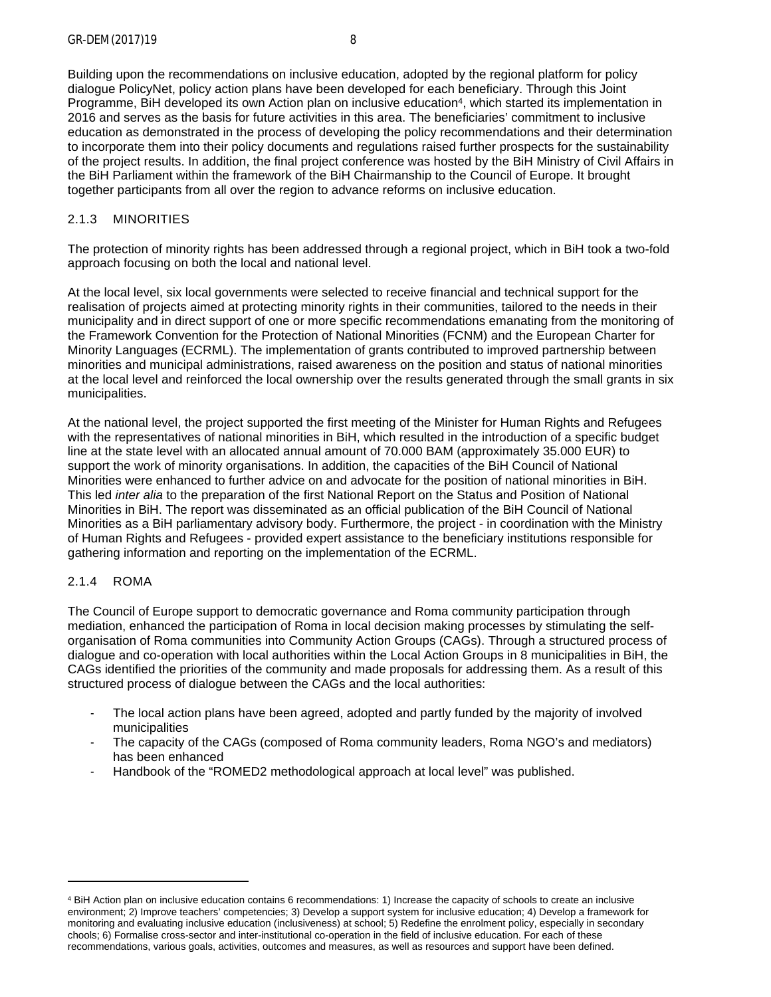Building upon the recommendations on inclusive education, adopted by the regional platform for policy dialogue PolicyNet, policy action plans have been developed for each beneficiary. Through this Joint Programme, BiH developed its own Action plan on inclusive education<sup>4</sup>, which started its implementation in 2016 and serves as the basis for future activities in this area. The beneficiaries' commitment to inclusive education as demonstrated in the process of developing the policy recommendations and their determination to incorporate them into their policy documents and regulations raised further prospects for the sustainability of the project results. In addition, the final project conference was hosted by the BiH Ministry of Civil Affairs in the BiH Parliament within the framework of the BiH Chairmanship to the Council of Europe. It brought together participants from all over the region to advance reforms on inclusive education.

# <span id="page-7-0"></span>2.1.3 MINORITIES

The protection of minority rights has been addressed through a regional project, which in BiH took a two-fold approach focusing on both the local and national level.

At the local level, six local governments were selected to receive financial and technical support for the realisation of projects aimed at protecting minority rights in their communities, tailored to the needs in their municipality and in direct support of one or more specific recommendations emanating from the monitoring of the Framework Convention for the Protection of National Minorities (FCNM) and the European Charter for Minority Languages (ECRML). The implementation of grants contributed to improved partnership between minorities and municipal administrations, raised awareness on the position and status of national minorities at the local level and reinforced the local ownership over the results generated through the small grants in six municipalities.

At the national level, the project supported the first meeting of the Minister for Human Rights and Refugees with the representatives of national minorities in BiH, which resulted in the introduction of a specific budget line at the state level with an allocated annual amount of 70.000 BAM (approximately 35.000 EUR) to support the work of minority organisations. In addition, the capacities of the BiH Council of National Minorities were enhanced to further advice on and advocate for the position of national minorities in BiH. This led *inter alia* to the preparation of the first National Report on the Status and Position of National Minorities in BiH. The report was disseminated as an official publication of the BiH Council of National Minorities as a BiH parliamentary advisory body. Furthermore, the project - in coordination with the Ministry of Human Rights and Refugees - provided expert assistance to the beneficiary institutions responsible for gathering information and reporting on the implementation of the ECRML.

# <span id="page-7-1"></span>2.1.4 ROMA

The Council of Europe support to democratic governance and Roma community participation through mediation, enhanced the participation of Roma in local decision making processes by stimulating the selforganisation of Roma communities into Community Action Groups (CAGs). Through a structured process of dialogue and co-operation with local authorities within the Local Action Groups in 8 municipalities in BiH, the CAGs identified the priorities of the community and made proposals for addressing them. As a result of this structured process of dialogue between the CAGs and the local authorities:

- The local action plans have been agreed, adopted and partly funded by the majority of involved municipalities
- The capacity of the CAGs (composed of Roma community leaders, Roma NGO's and mediators) has been enhanced
- Handbook of the "ROMED2 methodological approach at local level" was published.

<sup>4</sup> BiH Action plan on inclusive education contains 6 recommendations: 1) Increase the capacity of schools to create an inclusive environment; 2) Improve teachers' competencies; 3) Develop a support system for inclusive education; 4) Develop a framework for monitoring and evaluating inclusive education (inclusiveness) at school; 5) Redefine the enrolment policy, especially in secondary chools; 6) Formalise cross-sector and inter-institutional co-operation in the field of inclusive education. For each of these recommendations, various goals, activities, outcomes and measures, as well as resources and support have been defined.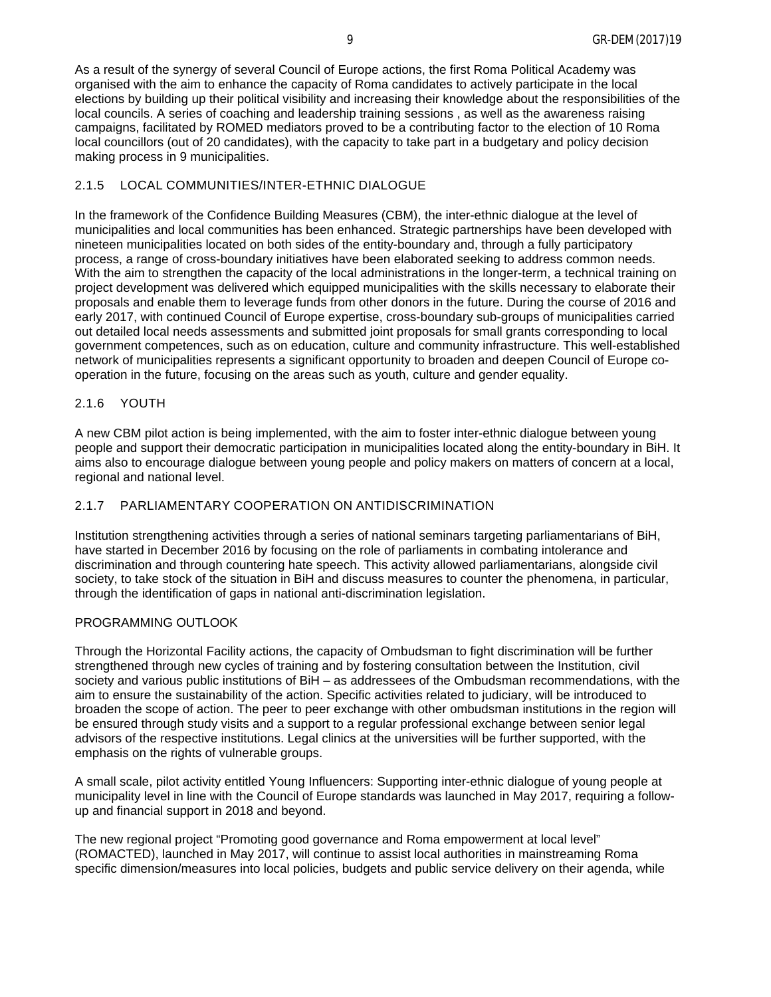As a result of the synergy of several Council of Europe actions, the first Roma Political Academy was organised with the aim to enhance the capacity of Roma candidates to actively participate in the local elections by building up their political visibility and increasing their knowledge about the responsibilities of the local councils. A series of coaching and leadership training sessions , as well as the awareness raising campaigns, facilitated by ROMED mediators proved to be a contributing factor to the election of 10 Roma local councillors (out of 20 candidates), with the capacity to take part in a budgetary and policy decision making process in 9 municipalities.

#### <span id="page-8-0"></span>2.1.5 LOCAL COMMUNITIES/INTER-ETHNIC DIALOGUE

In the framework of the Confidence Building Measures (CBM), the inter-ethnic dialogue at the level of municipalities and local communities has been enhanced. Strategic partnerships have been developed with nineteen municipalities located on both sides of the entity-boundary and, through a fully participatory process, a range of cross-boundary initiatives have been elaborated seeking to address common needs. With the aim to strengthen the capacity of the local administrations in the longer-term, a technical training on project development was delivered which equipped municipalities with the skills necessary to elaborate their proposals and enable them to leverage funds from other donors in the future. During the course of 2016 and early 2017, with continued Council of Europe expertise, cross-boundary sub-groups of municipalities carried out detailed local needs assessments and submitted joint proposals for small grants corresponding to local government competences, such as on education, culture and community infrastructure. This well-established network of municipalities represents a significant opportunity to broaden and deepen Council of Europe cooperation in the future, focusing on the areas such as youth, culture and gender equality.

#### <span id="page-8-1"></span>2.1.6 YOUTH

A new CBM pilot action is being implemented, with the aim to foster inter-ethnic dialogue between young people and support their democratic participation in municipalities located along the entity-boundary in BiH. It aims also to encourage dialogue between young people and policy makers on matters of concern at a local, regional and national level.

### <span id="page-8-2"></span>2.1.7 PARLIAMENTARY COOPERATION ON ANTIDISCRIMINATION

Institution strengthening activities through a series of national seminars targeting parliamentarians of BiH, have started in December 2016 by focusing on the role of parliaments in combating intolerance and discrimination and through countering hate speech. This activity allowed parliamentarians, alongside civil society, to take stock of the situation in BiH and discuss measures to counter the phenomena, in particular, through the identification of gaps in national anti-discrimination legislation.

## PROGRAMMING OUTLOOK

Through the Horizontal Facility actions, the capacity of Ombudsman to fight discrimination will be further strengthened through new cycles of training and by fostering consultation between the Institution, civil society and various public institutions of BiH – as addressees of the Ombudsman recommendations, with the aim to ensure the sustainability of the action. Specific activities related to judiciary, will be introduced to broaden the scope of action. The peer to peer exchange with other ombudsman institutions in the region will be ensured through study visits and a support to a regular professional exchange between senior legal advisors of the respective institutions. Legal clinics at the universities will be further supported, with the emphasis on the rights of vulnerable groups.

A small scale, pilot activity entitled Young Influencers: Supporting inter-ethnic dialogue of young people at municipality level in line with the Council of Europe standards was launched in May 2017, requiring a followup and financial support in 2018 and beyond.

The new regional project "Promoting good governance and Roma empowerment at local level" (ROMACTED), launched in May 2017, will continue to assist local authorities in mainstreaming Roma specific dimension/measures into local policies, budgets and public service delivery on their agenda, while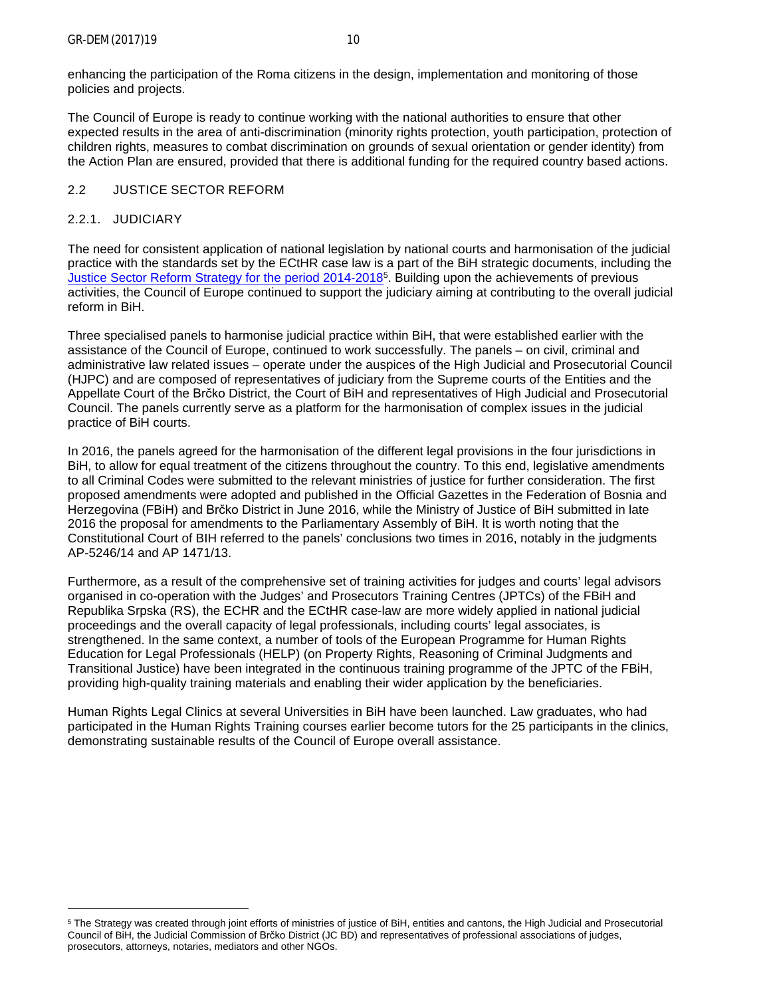enhancing the participation of the Roma citizens in the design, implementation and monitoring of those policies and projects.

The Council of Europe is ready to continue working with the national authorities to ensure that other expected results in the area of anti-discrimination (minority rights protection, youth participation, protection of children rights, measures to combat discrimination on grounds of sexual orientation or gender identity) from the Action Plan are ensured, provided that there is additional funding for the required country based actions.

# <span id="page-9-0"></span>2.2 JUSTICE SECTOR REFORM

# <span id="page-9-1"></span>2.2.1. JUDICIARY

The need for consistent application of national legislation by national courts and harmonisation of the judicial practice with the standards set by the ECtHR case law is a part of the BiH strategic documents, including the [Justice Sector Reform Strategy for the period 2014-2018](http://www.mpr.gov.ba/organizacija_nadleznosti/planiranja_koordinacija/strateska_planiranja/strategija/13%204%20SRSP%20u%20BiH%20-%20EJ.pdf)<sup>5</sup>. Building upon the achievements of previous activities, the Council of Europe continued to support the judiciary aiming at contributing to the overall judicial reform in BiH.

Three specialised panels to harmonise judicial practice within BiH, that were established earlier with the assistance of the Council of Europe, continued to work successfully. The panels – on civil, criminal and administrative law related issues – operate under the auspices of the High Judicial and Prosecutorial Council (HJPC) and are composed of representatives of judiciary from the Supreme courts of the Entities and the Appellate Court of the Brčko District, the Court of BiH and representatives of High Judicial and Prosecutorial Council. The panels currently serve as a platform for the harmonisation of complex issues in the judicial practice of BiH courts.

In 2016, the panels agreed for the harmonisation of the different legal provisions in the four jurisdictions in BiH, to allow for equal treatment of the citizens throughout the country. To this end, legislative amendments to all Criminal Codes were submitted to the relevant ministries of justice for further consideration. The first proposed amendments were adopted and published in the Official Gazettes in the Federation of Bosnia and Herzegovina (FBiH) and Brčko District in June 2016, while the Ministry of Justice of BiH submitted in late 2016 the proposal for amendments to the Parliamentary Assembly of BiH. It is worth noting that the Constitutional Court of BIH referred to the panels' conclusions two times in 2016, notably in the judgments AP-5246/14 and AP 1471/13.

Furthermore, as a result of the comprehensive set of training activities for judges and courts' legal advisors organised in co-operation with the Judges' and Prosecutors Training Centres (JPTCs) of the FBiH and Republika Srpska (RS), the ECHR and the ECtHR case-law are more widely applied in national judicial proceedings and the overall capacity of legal professionals, including courts' legal associates, is strengthened. In the same context, a number of tools of the European Programme for Human Rights Education for Legal Professionals (HELP) (on Property Rights, Reasoning of Criminal Judgments and Transitional Justice) have been integrated in the continuous training programme of the JPTC of the FBiH, providing high-quality training materials and enabling their wider application by the beneficiaries.

Human Rights Legal Clinics at several Universities in BiH have been launched. Law graduates, who had participated in the Human Rights Training courses earlier become tutors for the 25 participants in the clinics, demonstrating sustainable results of the Council of Europe overall assistance.

<sup>&</sup>lt;sup>5</sup> The Strategy was created through joint efforts of ministries of justice of BiH, entities and cantons, the High Judicial and Prosecutorial Council of BiH, the Judicial Commission of Brčko District (JC BD) and representatives of professional associations of judges, prosecutors, attorneys, notaries, mediators and other NGOs.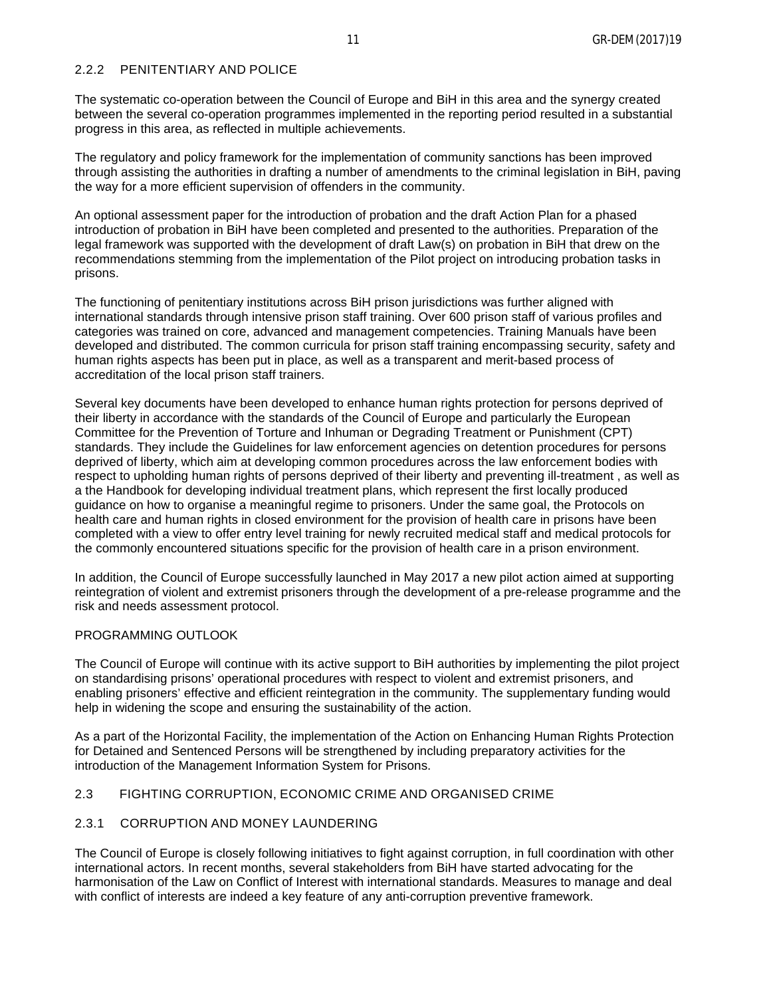### <span id="page-10-0"></span>2.2.2 PENITENTIARY AND POLICE

The systematic co-operation between the Council of Europe and BiH in this area and the synergy created between the several co-operation programmes implemented in the reporting period resulted in a substantial progress in this area, as reflected in multiple achievements.

The regulatory and policy framework for the implementation of community sanctions has been improved through assisting the authorities in drafting a number of amendments to the criminal legislation in BiH, paving the way for a more efficient supervision of offenders in the community.

An optional assessment paper for the introduction of probation and the draft Action Plan for a phased introduction of probation in BiH have been completed and presented to the authorities. Preparation of the legal framework was supported with the development of draft Law(s) on probation in BiH that drew on the recommendations stemming from the implementation of the Pilot project on introducing probation tasks in prisons.

The functioning of penitentiary institutions across BiH prison jurisdictions was further aligned with international standards through intensive prison staff training. Over 600 prison staff of various profiles and categories was trained on core, advanced and management competencies. Training Manuals have been developed and distributed. The common curricula for prison staff training encompassing security, safety and human rights aspects has been put in place, as well as a transparent and merit-based process of accreditation of the local prison staff trainers.

Several key documents have been developed to enhance human rights protection for persons deprived of their liberty in accordance with the standards of the Council of Europe and particularly the European Committee for the Prevention of Torture and Inhuman or Degrading Treatment or Punishment (CPT) standards. They include the Guidelines for law enforcement agencies on detention procedures for persons deprived of liberty, which aim at developing common procedures across the law enforcement bodies with respect to upholding human rights of persons deprived of their liberty and preventing ill-treatment , as well as a the Handbook for developing individual treatment plans, which represent the first locally produced guidance on how to organise a meaningful regime to prisoners. Under the same goal, the Protocols on health care and human rights in closed environment for the provision of health care in prisons have been completed with a view to offer entry level training for newly recruited medical staff and medical protocols for the commonly encountered situations specific for the provision of health care in a prison environment.

In addition, the Council of Europe successfully launched in May 2017 a new pilot action aimed at supporting reintegration of violent and extremist prisoners through the development of a pre-release programme and the risk and needs assessment protocol.

#### PROGRAMMING OUTLOOK

The Council of Europe will continue with its active support to BiH authorities by implementing the pilot project on standardising prisons' operational procedures with respect to violent and extremist prisoners, and enabling prisoners' effective and efficient reintegration in the community. The supplementary funding would help in widening the scope and ensuring the sustainability of the action.

As a part of the Horizontal Facility, the implementation of the Action on Enhancing Human Rights Protection for Detained and Sentenced Persons will be strengthened by including preparatory activities for the introduction of the Management Information System for Prisons.

#### <span id="page-10-1"></span>2.3 FIGHTING CORRUPTION, ECONOMIC CRIME AND ORGANISED CRIME

## <span id="page-10-2"></span>2.3.1 CORRUPTION AND MONEY LAUNDERING

The Council of Europe is closely following initiatives to fight against corruption, in full coordination with other international actors. In recent months, several stakeholders from BiH have started advocating for the harmonisation of the Law on Conflict of Interest with international standards. Measures to manage and deal with conflict of interests are indeed a key feature of any anti-corruption preventive framework.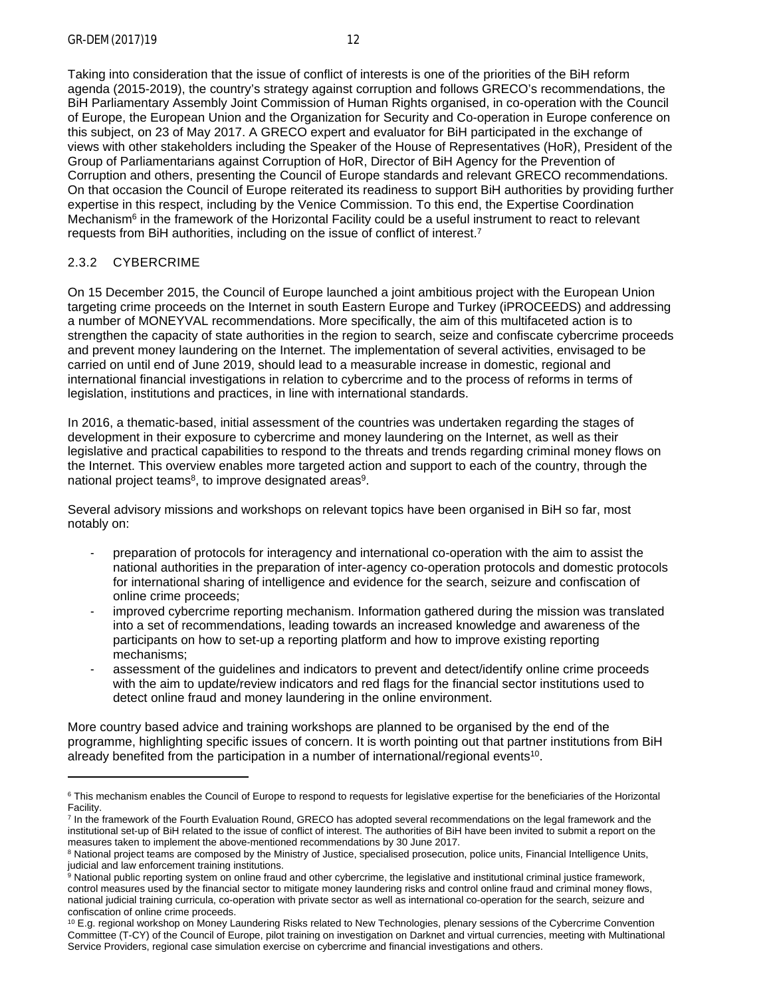Taking into consideration that the issue of conflict of interests is one of the priorities of the BiH reform agenda (2015-2019), the country's strategy against corruption and follows GRECO's recommendations, the BiH Parliamentary Assembly Joint Commission of Human Rights organised, in co-operation with the Council of Europe, the European Union and the Organization for Security and Co-operation in Europe conference on this subject, on 23 of May 2017. A GRECO expert and evaluator for BiH participated in the exchange of views with other stakeholders including the Speaker of the House of Representatives (HoR), President of the Group of Parliamentarians against Corruption of HoR, Director of BiH Agency for the Prevention of Corruption and others, presenting the Council of Europe standards and relevant GRECO recommendations. On that occasion the Council of Europe reiterated its readiness to support BiH authorities by providing further expertise in this respect, including by the Venice Commission. To this end, the Expertise Coordination Mechanism<sup>6</sup> in the framework of the Horizontal Facility could be a useful instrument to react to relevant requests from BiH authorities, including on the issue of conflict of interest.<sup>7</sup>

# <span id="page-11-0"></span>2.3.2 CYBERCRIME

On 15 December 2015, the Council of Europe launched a joint ambitious project with the European Union targeting crime proceeds on the Internet in south Eastern Europe and Turkey (iPROCEEDS) and addressing a number of MONEYVAL recommendations. More specifically, the aim of this multifaceted action is to strengthen the capacity of state authorities in the region to search, seize and confiscate cybercrime proceeds and prevent money laundering on the Internet. The implementation of several activities, envisaged to be carried on until end of June 2019, should lead to a measurable increase in domestic, regional and international financial investigations in relation to cybercrime and to the process of reforms in terms of legislation, institutions and practices, in line with international standards.

In 2016, a thematic-based, initial assessment of the countries was undertaken regarding the stages of development in their exposure to cybercrime and money laundering on the Internet, as well as their legislative and practical capabilities to respond to the threats and trends regarding criminal money flows on the Internet. This overview enables more targeted action and support to each of the country, through the national project teams<sup>8</sup>, to improve designated areas<sup>9</sup>.

Several advisory missions and workshops on relevant topics have been organised in BiH so far, most notably on:

- preparation of protocols for interagency and international co-operation with the aim to assist the national authorities in the preparation of inter-agency co-operation protocols and domestic protocols for international sharing of intelligence and evidence for the search, seizure and confiscation of online crime proceeds;
- improved cybercrime reporting mechanism. Information gathered during the mission was translated into a set of recommendations, leading towards an increased knowledge and awareness of the participants on how to set-up a reporting platform and how to improve existing reporting mechanisms;
- assessment of the quidelines and indicators to prevent and detect/identify online crime proceeds with the aim to update/review indicators and red flags for the financial sector institutions used to detect online fraud and money laundering in the online environment.

More country based advice and training workshops are planned to be organised by the end of the programme, highlighting specific issues of concern. It is worth pointing out that partner institutions from BiH already benefited from the participation in a number of international/regional events<sup>10</sup>.

<sup>&</sup>lt;sup>6</sup> This mechanism enables the Council of Europe to respond to requests for legislative expertise for the beneficiaries of the Horizontal Facility.

<sup>7</sup> In the framework of the Fourth Evaluation Round, GRECO has adopted several recommendations on the legal framework and the institutional set-up of BiH related to the issue of conflict of interest. The authorities of BiH have been invited to submit a report on the measures taken to implement the above-mentioned recommendations by 30 June 2017.

<sup>&</sup>lt;sup>8</sup> National project teams are composed by the Ministry of Justice, specialised prosecution, police units, Financial Intelligence Units, judicial and law enforcement training institutions.

<sup>&</sup>lt;sup>9</sup> National public reporting system on online fraud and other cybercrime, the legislative and institutional criminal justice framework, control measures used by the financial sector to mitigate money laundering risks and control online fraud and criminal money flows, national judicial training curricula, co-operation with private sector as well as international co-operation for the search, seizure and confiscation of online crime proceeds.

<sup>&</sup>lt;sup>10</sup> E.g. regional workshop on Money Laundering Risks related to New Technologies, plenary sessions of the Cybercrime Convention Committee (T-CY) of the Council of Europe, pilot training on investigation on Darknet and virtual currencies, meeting with Multinational Service Providers, regional case simulation exercise on cybercrime and financial investigations and others.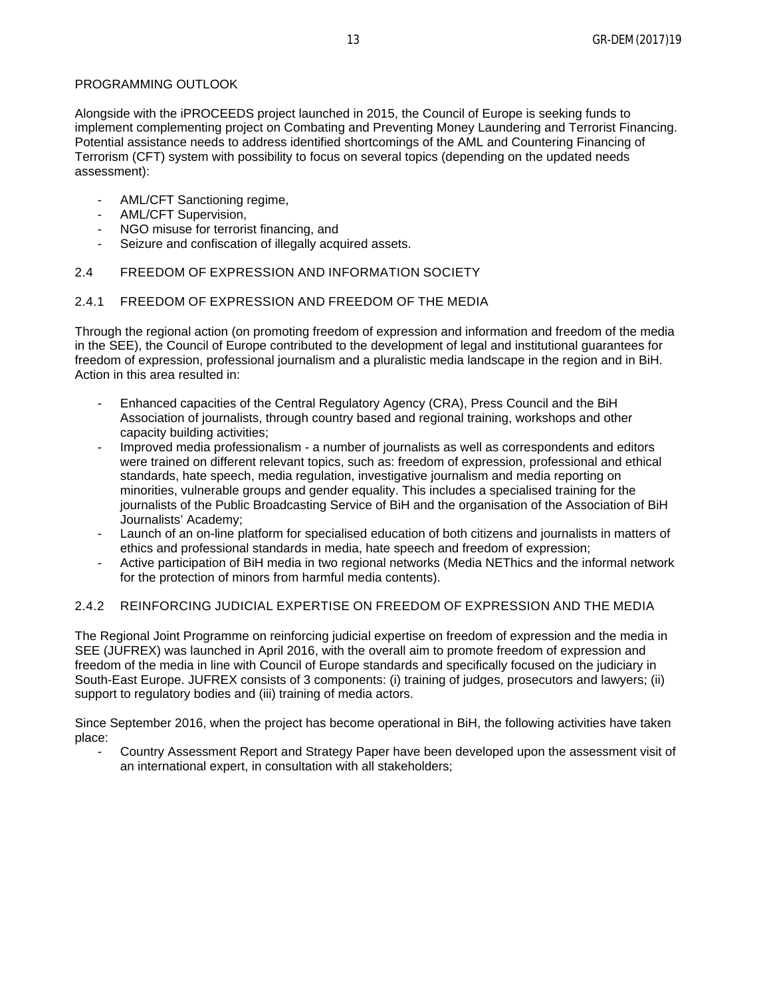### PROGRAMMING OUTLOOK

Alongside with the iPROCEEDS project launched in 2015, the Council of Europe is seeking funds to implement complementing project on Combating and Preventing Money Laundering and Terrorist Financing. Potential assistance needs to address identified shortcomings of the AML and Countering Financing of Terrorism (CFT) system with possibility to focus on several topics (depending on the updated needs assessment):

- AML/CFT Sanctioning regime,
- AML/CFT Supervision,
- NGO misuse for terrorist financing, and
- Seizure and confiscation of illegally acquired assets.

### <span id="page-12-0"></span>2.4 FREEDOM OF EXPRESSION AND INFORMATION SOCIETY

### <span id="page-12-1"></span>2.4.1 FREEDOM OF EXPRESSION AND FREEDOM OF THE MEDIA

Through the regional action (on promoting freedom of expression and information and freedom of the media in the SEE), the Council of Europe contributed to the development of legal and institutional guarantees for freedom of expression, professional journalism and a pluralistic media landscape in the region and in BiH. Action in this area resulted in:

- Enhanced capacities of the Central Regulatory Agency (CRA), Press Council and the BiH Association of journalists, through country based and regional training, workshops and other capacity building activities;
- Improved media professionalism a number of journalists as well as correspondents and editors were trained on different relevant topics, such as: freedom of expression, professional and ethical standards, hate speech, media regulation, investigative journalism and media reporting on minorities, vulnerable groups and gender equality. This includes a specialised training for the journalists of the Public Broadcasting Service of BiH and the organisation of the Association of BiH Journalists' Academy;
- Launch of an on-line platform for specialised education of both citizens and journalists in matters of ethics and professional standards in media, hate speech and freedom of expression;
- Active participation of BiH media in two regional networks (Media NEThics and the informal network for the protection of minors from harmful media contents).

# <span id="page-12-2"></span>2.4.2 REINFORCING JUDICIAL EXPERTISE ON FREEDOM OF EXPRESSION AND THE MEDIA

The Regional Joint Programme on reinforcing judicial expertise on freedom of expression and the media in SEE (JUFREX) was launched in April 2016, with the overall aim to promote freedom of expression and freedom of the media in line with Council of Europe standards and specifically focused on the judiciary in South-East Europe. JUFREX consists of 3 components: (i) training of judges, prosecutors and lawyers; (ii) support to regulatory bodies and (iii) training of media actors.

Since September 2016, when the project has become operational in BiH, the following activities have taken place:

- Country Assessment Report and Strategy Paper have been developed upon the assessment visit of an international expert, in consultation with all stakeholders;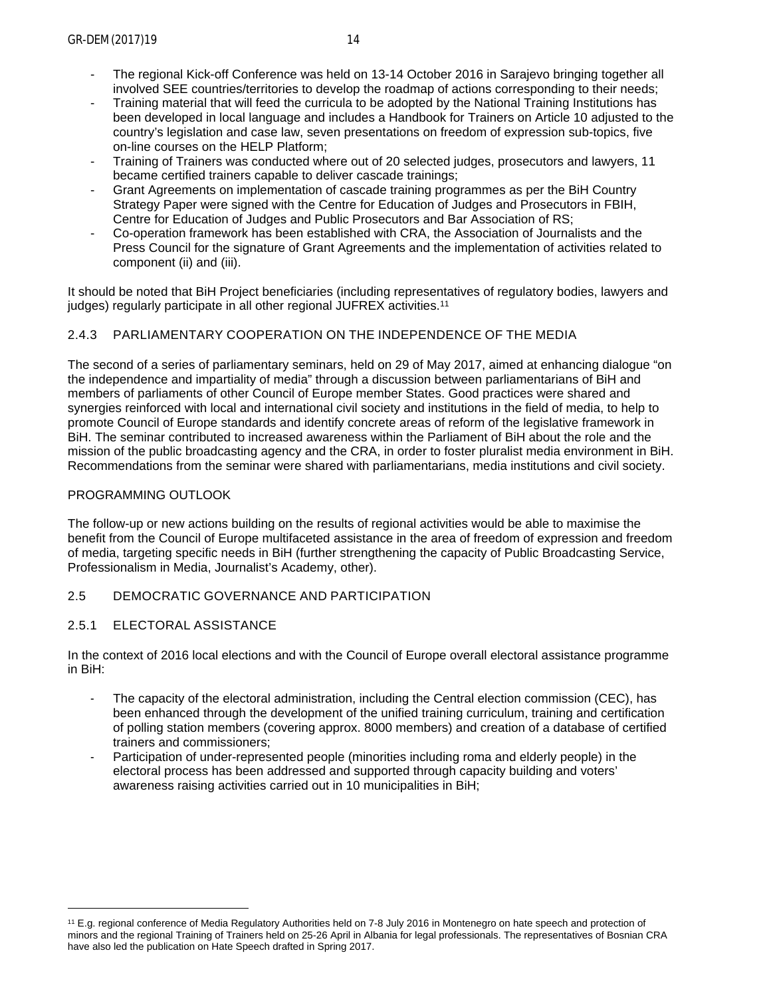- The regional Kick-off Conference was held on 13-14 October 2016 in Sarajevo bringing together all involved SEE countries/territories to develop the roadmap of actions corresponding to their needs;
- Training material that will feed the curricula to be adopted by the National Training Institutions has been developed in local language and includes a Handbook for Trainers on Article 10 adjusted to the country's legislation and case law, seven presentations on freedom of expression sub-topics, five on-line courses on the HELP Platform;
- Training of Trainers was conducted where out of 20 selected judges, prosecutors and lawyers, 11 became certified trainers capable to deliver cascade trainings;
- Grant Agreements on implementation of cascade training programmes as per the BiH Country Strategy Paper were signed with the Centre for Education of Judges and Prosecutors in FBIH, Centre for Education of Judges and Public Prosecutors and Bar Association of RS;
- Co-operation framework has been established with CRA, the Association of Journalists and the Press Council for the signature of Grant Agreements and the implementation of activities related to component (ii) and (iii).

It should be noted that BiH Project beneficiaries (including representatives of regulatory bodies, lawyers and judges) regularly participate in all other regional JUFREX activities.<sup>11</sup>

# <span id="page-13-0"></span>2.4.3 PARLIAMENTARY COOPERATION ON THE INDEPENDENCE OF THE MEDIA

The second of a series of parliamentary seminars, held on 29 of May 2017, aimed at enhancing dialogue "on the independence and impartiality of media" through a discussion between parliamentarians of BiH and members of parliaments of other Council of Europe member States. Good practices were shared and synergies reinforced with local and international civil society and institutions in the field of media, to help to promote Council of Europe standards and identify concrete areas of reform of the legislative framework in BiH. The seminar contributed to increased awareness within the Parliament of BiH about the role and the mission of the public broadcasting agency and the CRA, in order to foster pluralist media environment in BiH. Recommendations from the seminar were shared with parliamentarians, media institutions and civil society.

# PROGRAMMING OUTLOOK

The follow-up or new actions building on the results of regional activities would be able to maximise the benefit from the Council of Europe multifaceted assistance in the area of freedom of expression and freedom of media, targeting specific needs in BiH (further strengthening the capacity of Public Broadcasting Service, Professionalism in Media, Journalist's Academy, other).

# <span id="page-13-1"></span>2.5 DEMOCRATIC GOVERNANCE AND PARTICIPATION

# <span id="page-13-2"></span>2.5.1 ELECTORAL ASSISTANCE

In the context of 2016 local elections and with the Council of Europe overall electoral assistance programme in BiH:

- The capacity of the electoral administration, including the Central election commission (CEC), has been enhanced through the development of the unified training curriculum, training and certification of polling station members (covering approx. 8000 members) and creation of a database of certified trainers and commissioners;
- Participation of under-represented people (minorities including roma and elderly people) in the electoral process has been addressed and supported through capacity building and voters' awareness raising activities carried out in 10 municipalities in BiH;

<sup>11</sup> E.g. regional conference of Media Regulatory Authorities held on 7-8 July 2016 in Montenegro on hate speech and protection of minors and the regional Training of Trainers held on 25-26 April in Albania for legal professionals. The representatives of Bosnian CRA have also led the publication on Hate Speech drafted in Spring 2017.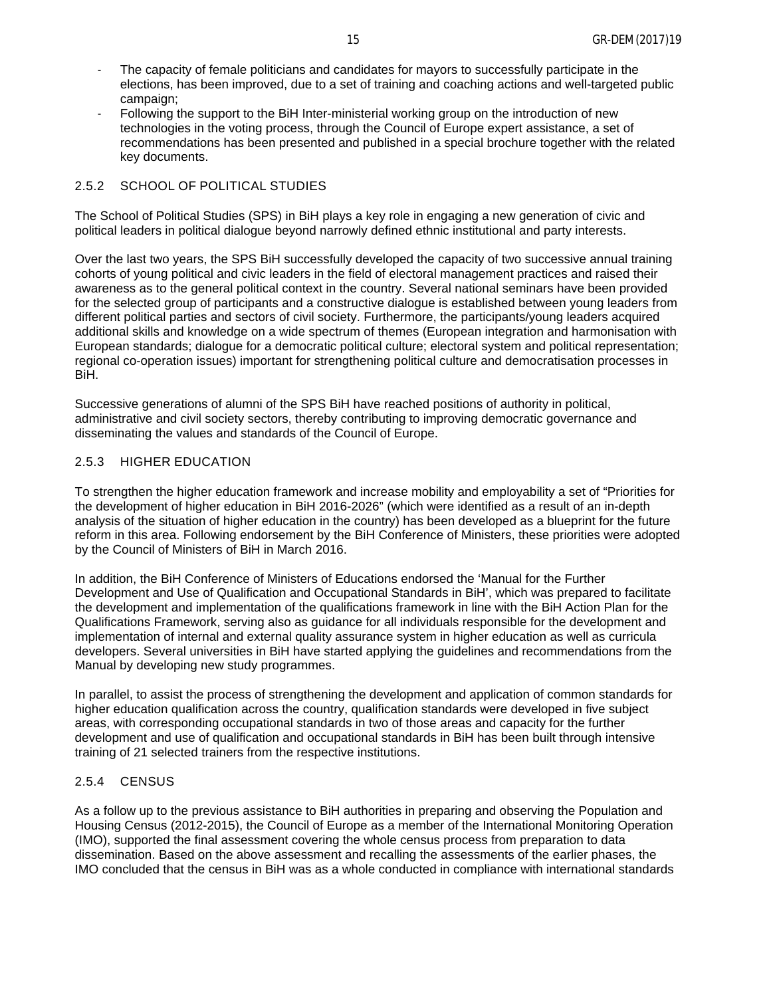- The capacity of female politicians and candidates for mayors to successfully participate in the elections, has been improved, due to a set of training and coaching actions and well-targeted public campaign;
- Following the support to the BiH Inter-ministerial working group on the introduction of new technologies in the voting process, through the Council of Europe expert assistance, a set of recommendations has been presented and published in a special brochure together with the related key documents.

### <span id="page-14-0"></span>2.5.2 SCHOOL OF POLITICAL STUDIES

The School of Political Studies (SPS) in BiH plays a key role in engaging a new generation of civic and political leaders in political dialogue beyond narrowly defined ethnic institutional and party interests.

Over the last two years, the SPS BiH successfully developed the capacity of two successive annual training cohorts of young political and civic leaders in the field of electoral management practices and raised their awareness as to the general political context in the country. Several national seminars have been provided for the selected group of participants and a constructive dialogue is established between young leaders from different political parties and sectors of civil society. Furthermore, the participants/young leaders acquired additional skills and knowledge on a wide spectrum of themes (European integration and harmonisation with European standards; dialogue for a democratic political culture; electoral system and political representation; regional co-operation issues) important for strengthening political culture and democratisation processes in BiH.

Successive generations of alumni of the SPS BiH have reached positions of authority in political, administrative and civil society sectors, thereby contributing to improving democratic governance and disseminating the values and standards of the Council of Europe.

#### <span id="page-14-1"></span>2.5.3 HIGHER EDUCATION

To strengthen the higher education framework and increase mobility and employability a set of "Priorities for the development of higher education in BiH 2016-2026" (which were identified as a result of an in-depth analysis of the situation of higher education in the country) has been developed as a blueprint for the future reform in this area. Following endorsement by the BiH Conference of Ministers, these priorities were adopted by the Council of Ministers of BiH in March 2016.

In addition, the BiH Conference of Ministers of Educations endorsed the 'Manual for the Further Development and Use of Qualification and Occupational Standards in BiH', which was prepared to facilitate the development and implementation of the qualifications framework in line with the BiH Action Plan for the Qualifications Framework, serving also as guidance for all individuals responsible for the development and implementation of internal and external quality assurance system in higher education as well as curricula developers. Several universities in BiH have started applying the guidelines and recommendations from the Manual by developing new study programmes.

In parallel, to assist the process of strengthening the development and application of common standards for higher education qualification across the country, qualification standards were developed in five subject areas, with corresponding occupational standards in two of those areas and capacity for the further development and use of qualification and occupational standards in BiH has been built through intensive training of 21 selected trainers from the respective institutions.

#### <span id="page-14-2"></span>2.5.4 CENSUS

As a follow up to the previous assistance to BiH authorities in preparing and observing the Population and Housing Census (2012-2015), the Council of Europe as a member of the International Monitoring Operation (IMO), supported the final assessment covering the whole census process from preparation to data dissemination. Based on the above assessment and recalling the assessments of the earlier phases, the IMO concluded that the census in BiH was as a whole conducted in compliance with international standards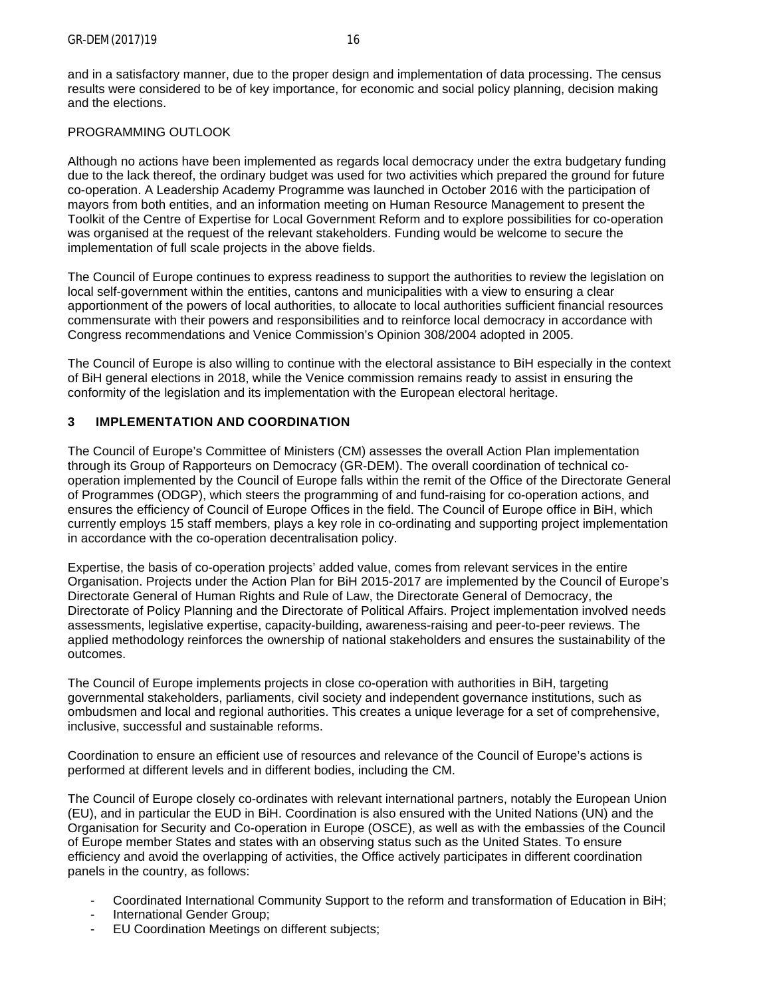and in a satisfactory manner, due to the proper design and implementation of data processing. The census results were considered to be of key importance, for economic and social policy planning, decision making and the elections.

## PROGRAMMING OUTLOOK

Although no actions have been implemented as regards local democracy under the extra budgetary funding due to the lack thereof, the ordinary budget was used for two activities which prepared the ground for future co-operation. A Leadership Academy Programme was launched in October 2016 with the participation of mayors from both entities, and an information meeting on Human Resource Management to present the Toolkit of the Centre of Expertise for Local Government Reform and to explore possibilities for co-operation was organised at the request of the relevant stakeholders. Funding would be welcome to secure the implementation of full scale projects in the above fields.

The Council of Europe continues to express readiness to support the authorities to review the legislation on local self-government within the entities, cantons and municipalities with a view to ensuring a clear apportionment of the powers of local authorities, to allocate to local authorities sufficient financial resources commensurate with their powers and responsibilities and to reinforce local democracy in accordance with Congress recommendations and Venice Commission's Opinion 308/2004 adopted in 2005.

The Council of Europe is also willing to continue with the electoral assistance to BiH especially in the context of BiH general elections in 2018, while the Venice commission remains ready to assist in ensuring the conformity of the legislation and its implementation with the European electoral heritage.

### <span id="page-15-0"></span>**3 IMPLEMENTATION AND COORDINATION**

The Council of Europe's Committee of Ministers (CM) assesses the overall Action Plan implementation through its Group of Rapporteurs on Democracy (GR-DEM). The overall coordination of technical cooperation implemented by the Council of Europe falls within the remit of the Office of the Directorate General of Programmes (ODGP), which steers the programming of and fund-raising for co-operation actions, and ensures the efficiency of Council of Europe Offices in the field. The Council of Europe office in BiH, which currently employs 15 staff members, plays a key role in co-ordinating and supporting project implementation in accordance with the co-operation decentralisation policy.

Expertise, the basis of co-operation projects' added value, comes from relevant services in the entire Organisation. Projects under the Action Plan for BiH 2015-2017 are implemented by the Council of Europe's Directorate General of Human Rights and Rule of Law, the Directorate General of Democracy, the Directorate of Policy Planning and the Directorate of Political Affairs. Project implementation involved needs assessments, legislative expertise, capacity-building, awareness-raising and peer-to-peer reviews. The applied methodology reinforces the ownership of national stakeholders and ensures the sustainability of the outcomes.

The Council of Europe implements projects in close co-operation with authorities in BiH, targeting governmental stakeholders, parliaments, civil society and independent governance institutions, such as ombudsmen and local and regional authorities. This creates a unique leverage for a set of comprehensive, inclusive, successful and sustainable reforms.

Coordination to ensure an efficient use of resources and relevance of the Council of Europe's actions is performed at different levels and in different bodies, including the CM.

The Council of Europe closely co-ordinates with relevant international partners, notably the European Union (EU), and in particular the EUD in BiH. Coordination is also ensured with the United Nations (UN) and the Organisation for Security and Co-operation in Europe (OSCE), as well as with the embassies of the Council of Europe member States and states with an observing status such as the United States. To ensure efficiency and avoid the overlapping of activities, the Office actively participates in different coordination panels in the country, as follows:

- Coordinated International Community Support to the reform and transformation of Education in BiH;
- International Gender Group;
- EU Coordination Meetings on different subjects;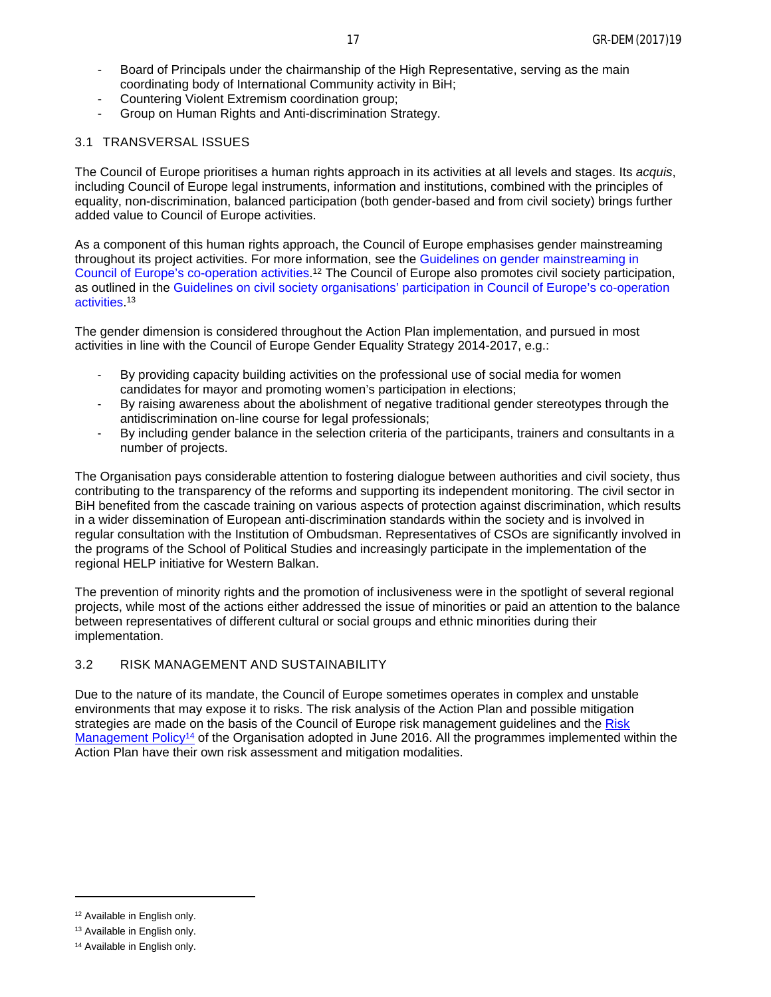- Board of Principals under the chairmanship of the High Representative, serving as the main coordinating body of International Community activity in BiH;
- Countering Violent Extremism coordination group;
- Group on Human Rights and Anti-discrimination Strategy.

### <span id="page-16-0"></span>3.1 TRANSVERSAL ISSUES

The Council of Europe prioritises a human rights approach in its activities at all levels and stages. Its *acquis*, including Council of Europe legal instruments, information and institutions, combined with the principles of equality, non-discrimination, balanced participation (both gender-based and from civil society) brings further added value to Council of Europe activities.

As a component of this human rights approach, the Council of Europe emphasises gender mainstreaming throughout its project activities. For more information, see the [Guidelines on gender mainstreaming in](https://rm.coe.int/CoERMPublicCommonSearchServices/DisplayDCTMContent?documentId=0900001680656cf0)  [Council of Europe's co-operation activities.](https://rm.coe.int/CoERMPublicCommonSearchServices/DisplayDCTMContent?documentId=0900001680656cf0)<sup>12</sup> The Council of Europe also promotes civil society participation, as outlined in the [Guidelines on civil society organisations' participation in Council of Europe's co-operation](https://rm.coe.int/CoERMPublicCommonSearchServices/DisplayDCTMContent?documentId=0900001680656cef)  [activities.](https://rm.coe.int/CoERMPublicCommonSearchServices/DisplayDCTMContent?documentId=0900001680656cef) 13

The gender dimension is considered throughout the Action Plan implementation, and pursued in most activities in line with the Council of Europe Gender Equality Strategy 2014-2017, e.g.:

- By providing capacity building activities on the professional use of social media for women candidates for mayor and promoting women's participation in elections;
- By raising awareness about the abolishment of negative traditional gender stereotypes through the antidiscrimination on-line course for legal professionals:
- By including gender balance in the selection criteria of the participants, trainers and consultants in a number of projects.

The Organisation pays considerable attention to fostering dialogue between authorities and civil society, thus contributing to the transparency of the reforms and supporting its independent monitoring. The civil sector in BiH benefited from the cascade training on various aspects of protection against discrimination, which results in a wider dissemination of European anti-discrimination standards within the society and is involved in regular consultation with the Institution of Ombudsman. Representatives of CSOs are significantly involved in the programs of the School of Political Studies and increasingly participate in the implementation of the regional HELP initiative for Western Balkan.

The prevention of minority rights and the promotion of inclusiveness were in the spotlight of several regional projects, while most of the actions either addressed the issue of minorities or paid an attention to the balance between representatives of different cultural or social groups and ethnic minorities during their implementation.

#### <span id="page-16-1"></span>3.2 RISK MANAGEMENT AND SUSTAINABILITY

Due to the nature of its mandate, the Council of Europe sometimes operates in complex and unstable environments that may expose it to risks. The risk analysis of the Action Plan and possible mitigation strategies are made on the basis of the Council of Europe risk management guidelines and the Risk [Management Policy](https://rm.coe.int/CoERMPublicCommonSearchServices/DisplayDCTMContent?documentId=09000016806aeeaa)<sup>14</sup> of the Organisation adopted in June 2016. All the programmes implemented within the Action Plan have their own risk assessment and mitigation modalities.

<sup>12</sup> Available in English only.

<sup>13</sup> Available in English only.

<sup>14</sup> Available in English only.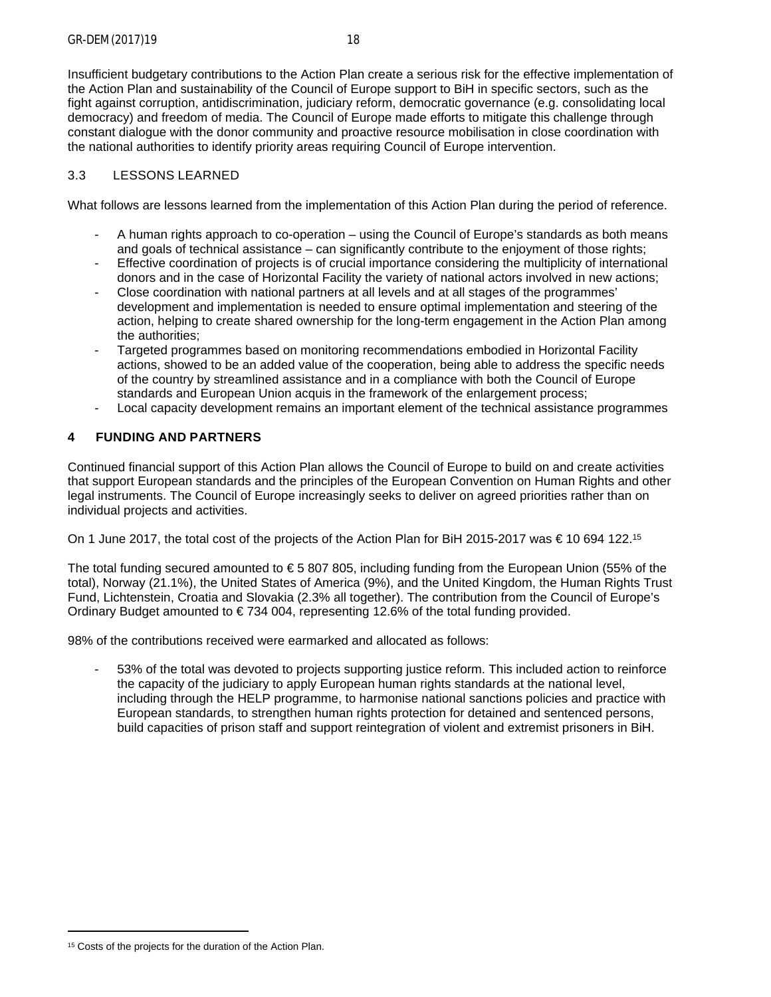Insufficient budgetary contributions to the Action Plan create a serious risk for the effective implementation of the Action Plan and sustainability of the Council of Europe support to BiH in specific sectors, such as the fight against corruption, antidiscrimination, judiciary reform, democratic governance (e.g. consolidating local democracy) and freedom of media. The Council of Europe made efforts to mitigate this challenge through constant dialogue with the donor community and proactive resource mobilisation in close coordination with the national authorities to identify priority areas requiring Council of Europe intervention.

# <span id="page-17-0"></span>3.3 LESSONS LEARNED

What follows are lessons learned from the implementation of this Action Plan during the period of reference.

- A human rights approach to co-operation using the Council of Europe's standards as both means and goals of technical assistance – can significantly contribute to the enjoyment of those rights;
- Effective coordination of projects is of crucial importance considering the multiplicity of international donors and in the case of Horizontal Facility the variety of national actors involved in new actions;
- Close coordination with national partners at all levels and at all stages of the programmes' development and implementation is needed to ensure optimal implementation and steering of the action, helping to create shared ownership for the long-term engagement in the Action Plan among the authorities;
- Targeted programmes based on monitoring recommendations embodied in Horizontal Facility actions, showed to be an added value of the cooperation, being able to address the specific needs of the country by streamlined assistance and in a compliance with both the Council of Europe standards and European Union acquis in the framework of the enlargement process;
- Local capacity development remains an important element of the technical assistance programmes

# <span id="page-17-1"></span>**4 FUNDING AND PARTNERS**

Continued financial support of this Action Plan allows the Council of Europe to build on and create activities that support European standards and the principles of the European Convention on Human Rights and other legal instruments. The Council of Europe increasingly seeks to deliver on agreed priorities rather than on individual projects and activities.

On 1 June 2017, the total cost of the projects of the Action Plan for BiH 2015-2017 was € 10 694 122.<sup>15</sup>

The total funding secured amounted to  $\epsilon$  5 807 805, including funding from the European Union (55% of the total), Norway (21.1%), the United States of America (9%), and the United Kingdom, the Human Rights Trust Fund, Lichtenstein, Croatia and Slovakia (2.3% all together). The contribution from the Council of Europe's Ordinary Budget amounted to  $\in 734$  004, representing 12.6% of the total funding provided.

98% of the contributions received were earmarked and allocated as follows:

- 53% of the total was devoted to projects supporting justice reform. This included action to reinforce the capacity of the judiciary to apply European human rights standards at the national level, including through the HELP programme, to harmonise national sanctions policies and practice with European standards, to strengthen human rights protection for detained and sentenced persons, build capacities of prison staff and support reintegration of violent and extremist prisoners in BiH.

<sup>&</sup>lt;sup>15</sup> Costs of the projects for the duration of the Action Plan.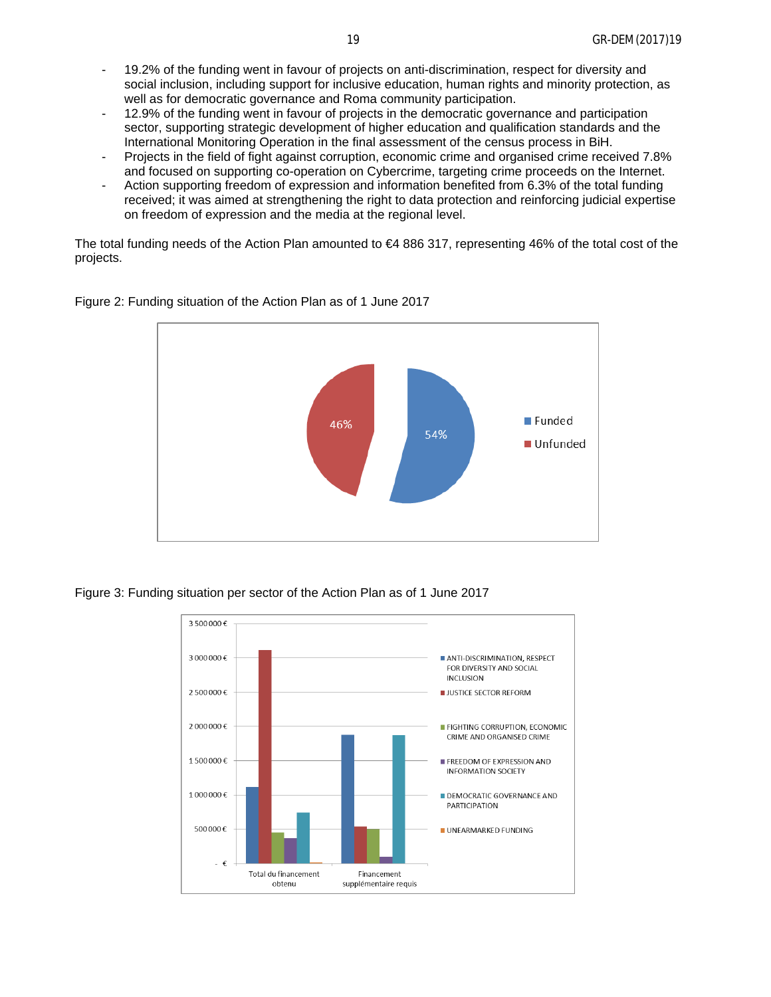- 19.2% of the funding went in favour of projects on anti-discrimination, respect for diversity and social inclusion, including support for inclusive education, human rights and minority protection, as well as for democratic governance and Roma community participation.
- 12.9% of the funding went in favour of projects in the democratic governance and participation sector, supporting strategic development of higher education and qualification standards and the International Monitoring Operation in the final assessment of the census process in BiH.
- Projects in the field of fight against corruption, economic crime and organised crime received 7.8% and focused on supporting co-operation on Cybercrime, targeting crime proceeds on the Internet.
- Action supporting freedom of expression and information benefited from 6.3% of the total funding received; it was aimed at strengthening the right to data protection and reinforcing judicial expertise on freedom of expression and the media at the regional level.

The total funding needs of the Action Plan amounted to €4 886 317, representing 46% of the total cost of the projects.



Figure 2: Funding situation of the Action Plan as of 1 June 2017

Figure 3: Funding situation per sector of the Action Plan as of 1 June 2017

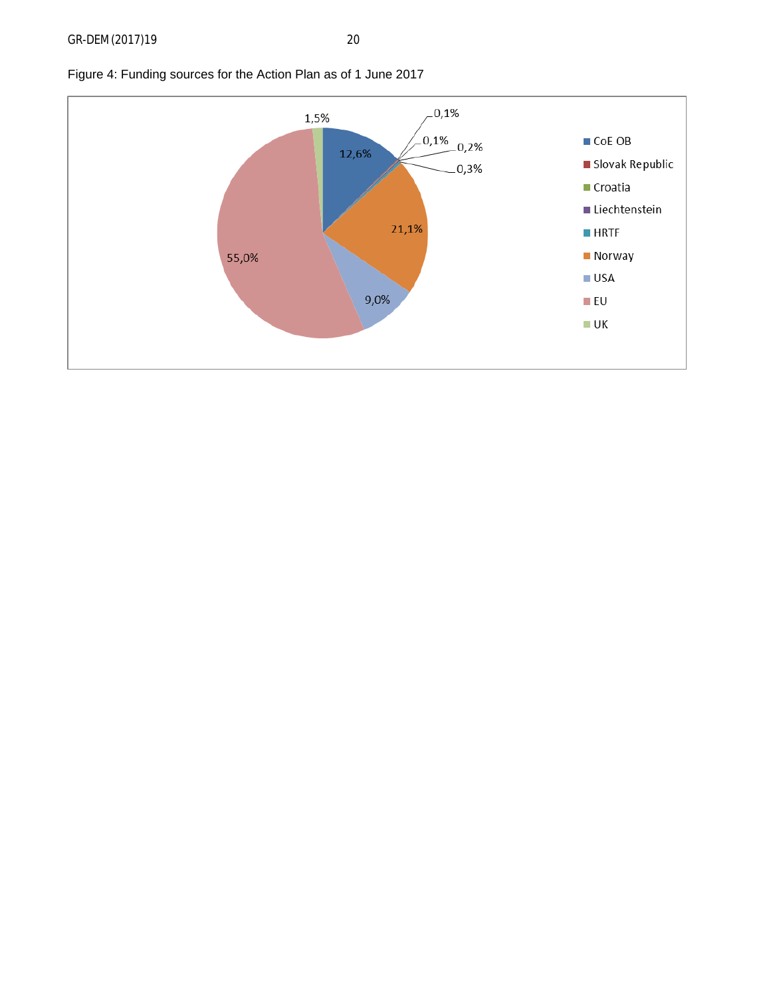

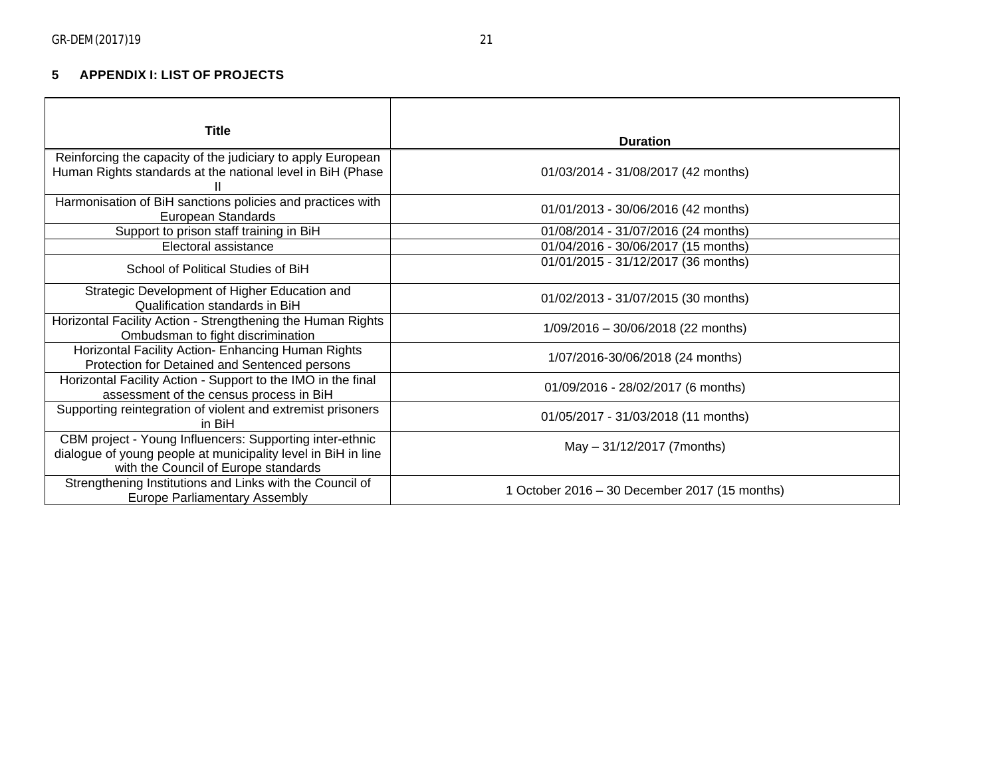# **5 APPENDIX I: LIST OF PROJECTS**

<span id="page-20-0"></span>

| <b>Title</b>                                                                                                                                                      |                                               |
|-------------------------------------------------------------------------------------------------------------------------------------------------------------------|-----------------------------------------------|
|                                                                                                                                                                   | <b>Duration</b>                               |
| Reinforcing the capacity of the judiciary to apply European<br>Human Rights standards at the national level in BiH (Phase                                         | 01/03/2014 - 31/08/2017 (42 months)           |
| Harmonisation of BiH sanctions policies and practices with<br>European Standards                                                                                  | 01/01/2013 - 30/06/2016 (42 months)           |
| Support to prison staff training in BiH                                                                                                                           | 01/08/2014 - 31/07/2016 (24 months)           |
| Electoral assistance                                                                                                                                              | 01/04/2016 - 30/06/2017 (15 months)           |
| School of Political Studies of BiH                                                                                                                                | 01/01/2015 - 31/12/2017 (36 months)           |
| Strategic Development of Higher Education and<br>Qualification standards in BiH                                                                                   | 01/02/2013 - 31/07/2015 (30 months)           |
| Horizontal Facility Action - Strengthening the Human Rights<br>Ombudsman to fight discrimination                                                                  | $1/09/2016 - 30/06/2018$ (22 months)          |
| Horizontal Facility Action- Enhancing Human Rights<br>Protection for Detained and Sentenced persons                                                               | 1/07/2016-30/06/2018 (24 months)              |
| Horizontal Facility Action - Support to the IMO in the final<br>assessment of the census process in BiH                                                           | 01/09/2016 - 28/02/2017 (6 months)            |
| Supporting reintegration of violent and extremist prisoners<br>in BiH                                                                                             | 01/05/2017 - 31/03/2018 (11 months)           |
| CBM project - Young Influencers: Supporting inter-ethnic<br>dialogue of young people at municipality level in BiH in line<br>with the Council of Europe standards | May - 31/12/2017 (7months)                    |
| Strengthening Institutions and Links with the Council of<br><b>Europe Parliamentary Assembly</b>                                                                  | 1 October 2016 – 30 December 2017 (15 months) |